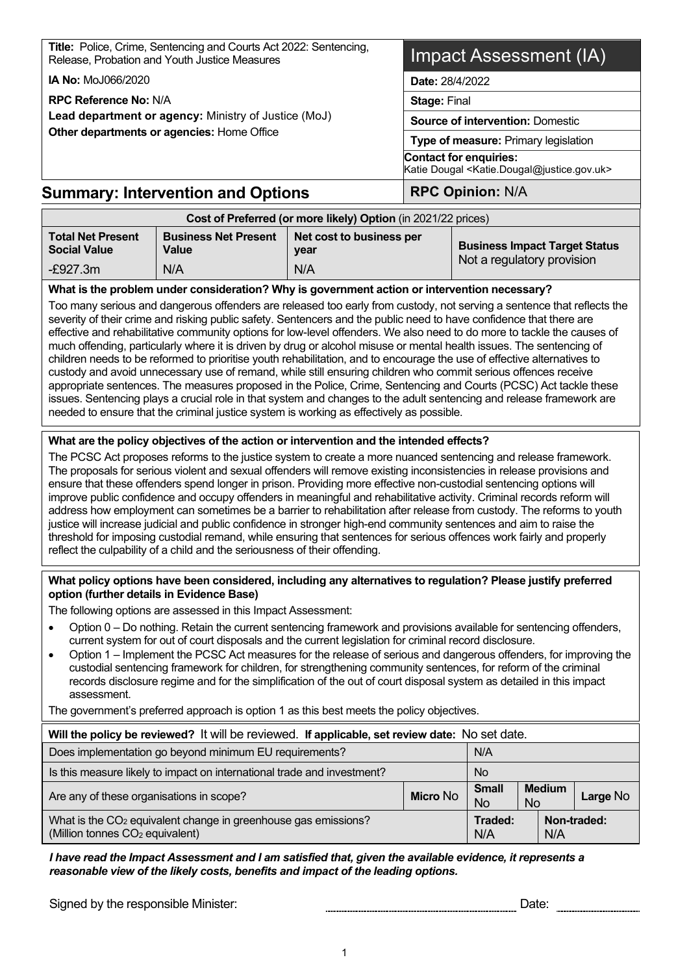**Title:** Police, Crime, Sentencing and Courts Act 2022: Sentencing, Release, Probation and Youth Justice Measures

**IA No:** MoJ066/2020

**RPC Reference No:** N/A

**Lead department or agency:** Ministry of Justice (MoJ) **Other departments or agencies:** Home Office

## Impact Assessment (IA)

**Date:** 28/4/2022

**Stage:** Final

**Source of intervention:** Domestic

**Type of measure:** Primary legislation

**Contact for enquiries:**

Katie Dougal <Katie.Dougal@justice.gov.uk>

## **Summary: Intervention and Options | RPC Opinion: N/A**

| Cost of Preferred (or more likely) Option (in 2021/22 prices) |                                      |                                  |                                      |  |
|---------------------------------------------------------------|--------------------------------------|----------------------------------|--------------------------------------|--|
| <b>Total Net Present</b><br><b>Social Value</b>               | <b>Business Net Present</b><br>Value | Net cost to business per<br>year | <b>Business Impact Target Status</b> |  |
| $-E927.3m$                                                    | N/A                                  | Not a regulatory provision       |                                      |  |

#### **What is the problem under consideration? Why is government action or intervention necessary?**

Too many serious and dangerous offenders are released too early from custody, not serving a sentence that reflects the severity of their crime and risking public safety. Sentencers and the public need to have confidence that there are effective and rehabilitative community options for low-level offenders. We also need to do more to tackle the causes of much offending, particularly where it is driven by drug or alcohol misuse or mental health issues. The sentencing of children needs to be reformed to prioritise youth rehabilitation, and to encourage the use of effective alternatives to custody and avoid unnecessary use of remand, while still ensuring children who commit serious offences receive appropriate sentences. The measures proposed in the Police, Crime, Sentencing and Courts (PCSC) Act tackle these issues. Sentencing plays a crucial role in that system and changes to the adult sentencing and release framework are needed to ensure that the criminal justice system is working as effectively as possible.

#### **What are the policy objectives of the action or intervention and the intended effects?**

The PCSC Act proposes reforms to the justice system to create a more nuanced sentencing and release framework. The proposals for serious violent and sexual offenders will remove existing inconsistencies in release provisions and ensure that these offenders spend longer in prison. Providing more effective non-custodial sentencing options will improve public confidence and occupy offenders in meaningful and rehabilitative activity. Criminal records reform will address how employment can sometimes be a barrier to rehabilitation after release from custody. The reforms to youth justice will increase judicial and public confidence in stronger high-end community sentences and aim to raise the threshold for imposing custodial remand, while ensuring that sentences for serious offences work fairly and properly reflect the culpability of a child and the seriousness of their offending.

#### **What policy options have been considered, including any alternatives to regulation? Please justify preferred option (further details in Evidence Base)**

The following options are assessed in this Impact Assessment:

- Option 0 Do nothing. Retain the current sentencing framework and provisions available for sentencing offenders, current system for out of court disposals and the current legislation for criminal record disclosure.
- Option 1 Implement the PCSC Act measures for the release of serious and dangerous offenders, for improving the custodial sentencing framework for children, for strengthening community sentences, for reform of the criminal records disclosure regime and for the simplification of the out of court disposal system as detailed in this impact assessment.

The government's preferred approach is option 1 as this best meets the policy objectives.

#### **Will the policy be reviewed?** It will be reviewed. **If applicable, set review date:** No set date. Does implementation go beyond minimum EU requirements? N/A Is this measure likely to impact on international trade and investment? Are any of these organisations in scope? **Micro** No **Small** No **Medium** No **Large** No What is the CO<sub>2</sub> equivalent change in greenhouse gas emissions? (Million tonnes CO<sub>2</sub> equivalent) **Traded:**  N/A **Non-traded:**  N/A

#### *I have read the Impact Assessment and I am satisfied that, given the available evidence, it represents a reasonable view of the likely costs, benefits and impact of the leading options.*

Signed by the responsible Minister:  $\blacksquare$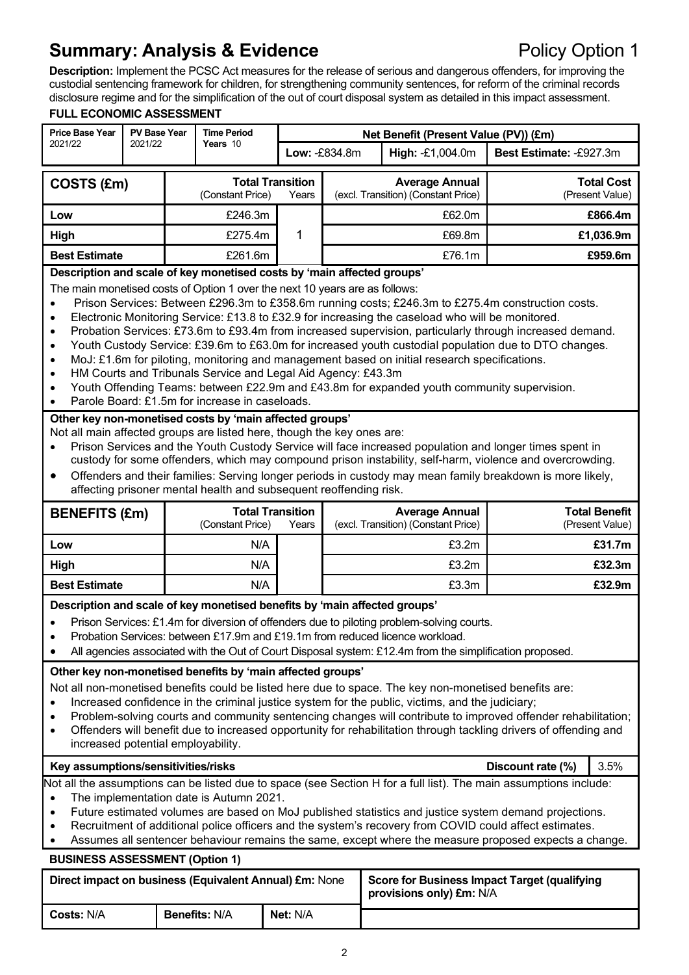## **Summary: Analysis & Evidence Policy Option 1**

**Description:** Implement the PCSC Act measures for the release of serious and dangerous offenders, for improving the custodial sentencing framework for children, for strengthening community sentences, for reform of the criminal records disclosure regime and for the simplification of the out of court disposal system as detailed in this impact assessment.

#### **FULL ECONOMIC ASSESSMENT**

| <b>Price Base Year</b>                                                                                                                                                                                                                                                                                                                                                                                                                                                                                                                                                                                                                                                                                                                                                                                                                                                                                                                                                                                                                                                                                                                                                                                                                                                                                                                                                                                                                                                                                                                                      | <b>PV Base Year</b> |  | <b>Time Period</b>                          |       |               | Net Benefit (Present Value (PV)) (£m)                                                                                                                                                                                                                                                                                                                                                                                                         |                         |                                         |
|-------------------------------------------------------------------------------------------------------------------------------------------------------------------------------------------------------------------------------------------------------------------------------------------------------------------------------------------------------------------------------------------------------------------------------------------------------------------------------------------------------------------------------------------------------------------------------------------------------------------------------------------------------------------------------------------------------------------------------------------------------------------------------------------------------------------------------------------------------------------------------------------------------------------------------------------------------------------------------------------------------------------------------------------------------------------------------------------------------------------------------------------------------------------------------------------------------------------------------------------------------------------------------------------------------------------------------------------------------------------------------------------------------------------------------------------------------------------------------------------------------------------------------------------------------------|---------------------|--|---------------------------------------------|-------|---------------|-----------------------------------------------------------------------------------------------------------------------------------------------------------------------------------------------------------------------------------------------------------------------------------------------------------------------------------------------------------------------------------------------------------------------------------------------|-------------------------|-----------------------------------------|
| 2021/22                                                                                                                                                                                                                                                                                                                                                                                                                                                                                                                                                                                                                                                                                                                                                                                                                                                                                                                                                                                                                                                                                                                                                                                                                                                                                                                                                                                                                                                                                                                                                     | 2021/22             |  | Years 10                                    |       | Low: -£834.8m | High: -£1,004.0m                                                                                                                                                                                                                                                                                                                                                                                                                              | Best Estimate: -£927.3m |                                         |
| COSTS (£m)                                                                                                                                                                                                                                                                                                                                                                                                                                                                                                                                                                                                                                                                                                                                                                                                                                                                                                                                                                                                                                                                                                                                                                                                                                                                                                                                                                                                                                                                                                                                                  |                     |  | <b>Total Transition</b><br>(Constant Price) | Years |               | <b>Average Annual</b><br>(excl. Transition) (Constant Price)                                                                                                                                                                                                                                                                                                                                                                                  |                         | <b>Total Cost</b><br>(Present Value)    |
| Low                                                                                                                                                                                                                                                                                                                                                                                                                                                                                                                                                                                                                                                                                                                                                                                                                                                                                                                                                                                                                                                                                                                                                                                                                                                                                                                                                                                                                                                                                                                                                         |                     |  | £246.3m                                     |       | £62.0m        |                                                                                                                                                                                                                                                                                                                                                                                                                                               |                         | £866.4m                                 |
| High                                                                                                                                                                                                                                                                                                                                                                                                                                                                                                                                                                                                                                                                                                                                                                                                                                                                                                                                                                                                                                                                                                                                                                                                                                                                                                                                                                                                                                                                                                                                                        |                     |  | £275.4m                                     | 1     | £69.8m        |                                                                                                                                                                                                                                                                                                                                                                                                                                               |                         | £1,036.9m                               |
| <b>Best Estimate</b>                                                                                                                                                                                                                                                                                                                                                                                                                                                                                                                                                                                                                                                                                                                                                                                                                                                                                                                                                                                                                                                                                                                                                                                                                                                                                                                                                                                                                                                                                                                                        |                     |  | £261.6m                                     |       |               | £76.1m                                                                                                                                                                                                                                                                                                                                                                                                                                        |                         | £959.6m                                 |
| Description and scale of key monetised costs by 'main affected groups'<br>The main monetised costs of Option 1 over the next 10 years are as follows:<br>Prison Services: Between £296.3m to £358.6m running costs; £246.3m to £275.4m construction costs.<br>$\bullet$<br>Electronic Monitoring Service: £13.8 to £32.9 for increasing the caseload who will be monitored.<br>$\bullet$<br>Probation Services: £73.6m to £93.4m from increased supervision, particularly through increased demand.<br>$\bullet$<br>Youth Custody Service: £39.6m to £63.0m for increased youth custodial population due to DTO changes.<br>$\bullet$<br>MoJ: £1.6m for piloting, monitoring and management based on initial research specifications.<br>$\bullet$<br>HM Courts and Tribunals Service and Legal Aid Agency: £43.3m<br>$\bullet$<br>Youth Offending Teams: between £22.9m and £43.8m for expanded youth community supervision.<br>$\bullet$<br>Parole Board: £1.5m for increase in caseloads.<br>$\bullet$<br>Other key non-monetised costs by 'main affected groups'<br>Not all main affected groups are listed here, though the key ones are:<br>Prison Services and the Youth Custody Service will face increased population and longer times spent in<br>custody for some offenders, which may compound prison instability, self-harm, violence and overcrowding.<br>Offenders and their families: Serving longer periods in custody may mean family breakdown is more likely,<br>٠<br>affecting prisoner mental health and subsequent reoffending risk. |                     |  |                                             |       |               |                                                                                                                                                                                                                                                                                                                                                                                                                                               |                         |                                         |
| <b>BENEFITS (£m)</b>                                                                                                                                                                                                                                                                                                                                                                                                                                                                                                                                                                                                                                                                                                                                                                                                                                                                                                                                                                                                                                                                                                                                                                                                                                                                                                                                                                                                                                                                                                                                        |                     |  | <b>Total Transition</b><br>(Constant Price) | Years |               | <b>Average Annual</b><br>(excl. Transition) (Constant Price)                                                                                                                                                                                                                                                                                                                                                                                  |                         | <b>Total Benefit</b><br>(Present Value) |
| Low                                                                                                                                                                                                                                                                                                                                                                                                                                                                                                                                                                                                                                                                                                                                                                                                                                                                                                                                                                                                                                                                                                                                                                                                                                                                                                                                                                                                                                                                                                                                                         |                     |  | N/A                                         |       |               | £3.2m                                                                                                                                                                                                                                                                                                                                                                                                                                         |                         | £31.7m                                  |
| High                                                                                                                                                                                                                                                                                                                                                                                                                                                                                                                                                                                                                                                                                                                                                                                                                                                                                                                                                                                                                                                                                                                                                                                                                                                                                                                                                                                                                                                                                                                                                        |                     |  | N/A                                         |       |               |                                                                                                                                                                                                                                                                                                                                                                                                                                               |                         |                                         |
| <b>Best Estimate</b>                                                                                                                                                                                                                                                                                                                                                                                                                                                                                                                                                                                                                                                                                                                                                                                                                                                                                                                                                                                                                                                                                                                                                                                                                                                                                                                                                                                                                                                                                                                                        |                     |  |                                             |       |               |                                                                                                                                                                                                                                                                                                                                                                                                                                               |                         | £32.3m                                  |
| Description and scale of key monetised benefits by 'main affected groups'<br>Prison Services: £1.4m for diversion of offenders due to piloting problem-solving courts.<br>Probation Services: between £17.9m and £19.1m from reduced licence workload<br>All agencies associated with the Out of Court Disposal system: £12.4m from the simplification proposed.<br>Other key non-monetised benefits by 'main affected groups'<br>Not all non-monetised benefits could be listed here due to space. The key non-monetised benefits are:<br>Increased confidence in the criminal justice system for the public, victims, and the judiciary;<br>$\bullet$<br>Problem-solving courts and community sentencing changes will contribute to improved offender rehabilitation;<br>Offenders will benefit due to increased opportunity for rehabilitation through tackling drivers of offending and                                                                                                                                                                                                                                                                                                                                                                                                                                                                                                                                                                                                                                                                 |                     |  |                                             |       |               | £3.2m<br>£3.3m                                                                                                                                                                                                                                                                                                                                                                                                                                |                         | £32.9m                                  |
| $\bullet$                                                                                                                                                                                                                                                                                                                                                                                                                                                                                                                                                                                                                                                                                                                                                                                                                                                                                                                                                                                                                                                                                                                                                                                                                                                                                                                                                                                                                                                                                                                                                   |                     |  | N/A                                         |       |               |                                                                                                                                                                                                                                                                                                                                                                                                                                               |                         |                                         |
| increased potential employability.                                                                                                                                                                                                                                                                                                                                                                                                                                                                                                                                                                                                                                                                                                                                                                                                                                                                                                                                                                                                                                                                                                                                                                                                                                                                                                                                                                                                                                                                                                                          |                     |  |                                             |       |               |                                                                                                                                                                                                                                                                                                                                                                                                                                               |                         |                                         |
| Key assumptions/sensitivities/risks<br>$\bullet$<br>$\bullet$<br><b>BUSINESS ASSESSMENT (Option 1)</b>                                                                                                                                                                                                                                                                                                                                                                                                                                                                                                                                                                                                                                                                                                                                                                                                                                                                                                                                                                                                                                                                                                                                                                                                                                                                                                                                                                                                                                                      |                     |  | The implementation date is Autumn 2021.     |       |               | Not all the assumptions can be listed due to space (see Section H for a full list). The main assumptions include:<br>Future estimated volumes are based on MoJ published statistics and justice system demand projections.<br>Recruitment of additional police officers and the system's recovery from COVID could affect estimates.<br>Assumes all sentencer behaviour remains the same, except where the measure proposed expects a change. | Discount rate (%)       | 3.5%                                    |

**Costs: N/A Benefits: N/A Net: N/A** 

**provisions only) £m:** N/A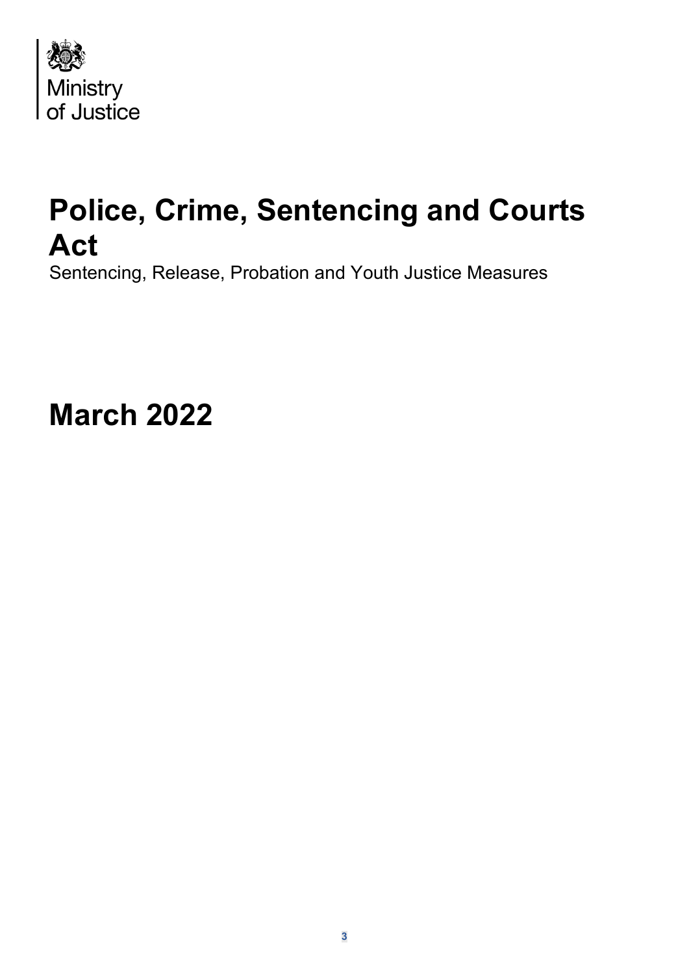

# **Police, Crime, Sentencing and Courts Act**

Sentencing, Release, Probation and Youth Justice Measures

**March 2022**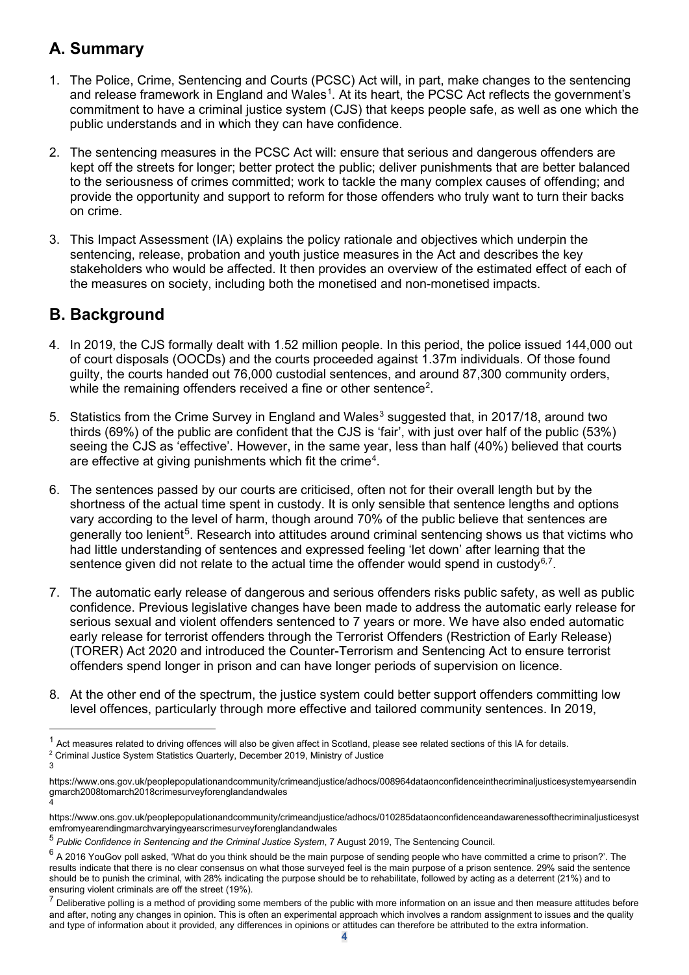## **A. Summary**

- 1. The Police, Crime, Sentencing and Courts (PCSC) Act will, in part, make changes to the sentencing and release framework in England and Wales $^{\rm 1}$  $^{\rm 1}$  $^{\rm 1}$ . At its heart, the PCSC Act reflects the government's commitment to have a criminal justice system (CJS) that keeps people safe, as well as one which the public understands and in which they can have confidence.
- 2. The sentencing measures in the PCSC Act will: ensure that serious and dangerous offenders are kept off the streets for longer; better protect the public; deliver punishments that are better balanced to the seriousness of crimes committed; work to tackle the many complex causes of offending; and provide the opportunity and support to reform for those offenders who truly want to turn their backs on crime.
- 3. This Impact Assessment (IA) explains the policy rationale and objectives which underpin the sentencing, release, probation and youth justice measures in the Act and describes the key stakeholders who would be affected. It then provides an overview of the estimated effect of each of the measures on society, including both the monetised and non-monetised impacts.

## **B. Background**

- 4. In 2019, the CJS formally dealt with 1.52 million people. In this period, the police issued 144,000 out of court disposals (OOCDs) and the courts proceeded against 1.37m individuals. Of those found guilty, the courts handed out 76,000 custodial sentences, and around 87,300 community orders, while the remaining offenders received a fine or other sentence $^{\text{\tiny 2}}$  $^{\text{\tiny 2}}$  $^{\text{\tiny 2}}$ .
- 5. Statistics from the Crime Survey in England and Wales<sup>[3](#page-3-2)</sup> suggested that, in 2017/18, around two thirds (69%) of the public are confident that the CJS is 'fair', with just over half of the public (53%) seeing the CJS as 'effective'. However, in the same year, less than half (40%) believed that courts are effective at giving punishments which fit the crime $^4$  $^4$ .
- 6. The sentences passed by our courts are criticised, often not for their overall length but by the shortness of the actual time spent in custody. It is only sensible that sentence lengths and options vary according to the level of harm, though around 70% of the public believe that sentences are generally too lenient<sup>5</sup>. Research into attitudes around criminal sentencing shows us that victims who had little understanding of sentences and expressed feeling 'let down' after learning that the sentence given did not relate to the actual time the offender would spend in custody $^{6,7}.$  $^{6,7}.$  $^{6,7}.$  $^{6,7}.$  $^{6,7}.$
- 7. The automatic early release of dangerous and serious offenders risks public safety, as well as public confidence. Previous legislative changes have been made to address the automatic early release for serious sexual and violent offenders sentenced to 7 years or more. We have also ended automatic early release for terrorist offenders through the Terrorist Offenders (Restriction of Early Release) (TORER) Act 2020 and introduced the Counter-Terrorism and Sentencing Act to ensure terrorist offenders spend longer in prison and can have longer periods of supervision on licence.
- 8. At the other end of the spectrum, the justice system could better support offenders committing low level offences, particularly through more effective and tailored community sentences. In 2019,

<span id="page-3-0"></span> $1$  Act measures related to driving offences will also be given affect in Scotland, please see related sections of this IA for details.

<span id="page-3-1"></span><sup>2</sup> Criminal Justice System Statistics Quarterly, December 2019, Ministry of Justice 3

<span id="page-3-2"></span>https://www.ons.gov.uk/peoplepopulationandcommunity/crimeandjustice/adhocs/008964dataonconfidenceinthecriminaljusticesystemyearsendin gmarch2008tomarch2018crimesurveyforenglandandwales 4

<span id="page-3-3"></span>https://www.ons.gov.uk/peoplepopulationandcommunity/crimeandjustice/adhocs/010285dataonconfidenceandawarenessofthecriminaljusticesyst emfromyearendingmarchvaryingyearscrimesurveyforenglandandwales

<span id="page-3-4"></span><sup>5</sup> *Public Confidence in Sentencing and the Criminal Justice System*, 7 August 2019, The Sentencing Council.

<span id="page-3-5"></span> $6$  A 2016 YouGov poll asked, 'What do you think should be the main purpose of sending people who have committed a crime to prison?'. The results indicate that there is no clear consensus on what those surveyed feel is the main purpose of a prison sentence. 29% said the sentence should be to punish the criminal, with 28% indicating the purpose should be to rehabilitate, followed by acting as a deterrent (21%) and to ensuring violent criminals are off the street (19%).

<span id="page-3-6"></span> $7$  Deliberative polling is a method of providing some members of the public with more information on an issue and then measure attitudes before and after, noting any changes in opinion. This is often an experimental approach which involves a random assignment to issues and the quality and type of information about it provided, any differences in opinions or attitudes can therefore be attributed to the extra information.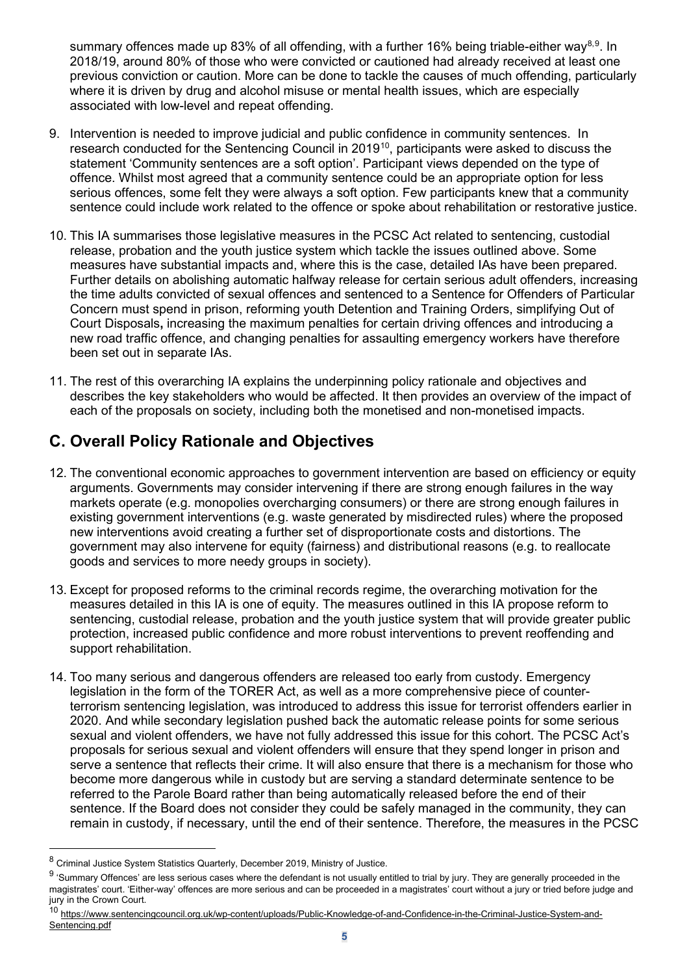summary offences made up 83% of all offending, with a further 16% being triable-either way $^{\rm 8,9}$  $^{\rm 8,9}$  $^{\rm 8,9}$  $^{\rm 8,9}$ . In 2018/19, around 80% of those who were convicted or cautioned had already received at least one previous conviction or caution. More can be done to tackle the causes of much offending, particularly where it is driven by drug and alcohol misuse or mental health issues, which are especially associated with low-level and repeat offending.

- 9. Intervention is needed to improve judicial and public confidence in community sentences. In research conducted for the Sentencing Council in 2019[10,](#page-4-2) participants were asked to discuss the statement 'Community sentences are a soft option'. Participant views depended on the type of offence. Whilst most agreed that a community sentence could be an appropriate option for less serious offences, some felt they were always a soft option. Few participants knew that a community sentence could include work related to the offence or spoke about rehabilitation or restorative justice.
- 10. This IA summarises those legislative measures in the PCSC Act related to sentencing, custodial release, probation and the youth justice system which tackle the issues outlined above. Some measures have substantial impacts and, where this is the case, detailed IAs have been prepared. Further details on abolishing automatic halfway release for certain serious adult offenders, increasing the time adults convicted of sexual offences and sentenced to a Sentence for Offenders of Particular Concern must spend in prison, reforming youth Detention and Training Orders, simplifying Out of Court Disposals**,** increasing the maximum penalties for certain driving offences and introducing a new road traffic offence, and changing penalties for assaulting emergency workers have therefore been set out in separate IAs.
- 11. The rest of this overarching IA explains the underpinning policy rationale and objectives and describes the key stakeholders who would be affected. It then provides an overview of the impact of each of the proposals on society, including both the monetised and non-monetised impacts.

## **C. Overall Policy Rationale and Objectives**

- 12. The conventional economic approaches to government intervention are based on efficiency or equity arguments. Governments may consider intervening if there are strong enough failures in the way markets operate (e.g. monopolies overcharging consumers) or there are strong enough failures in existing government interventions (e.g. waste generated by misdirected rules) where the proposed new interventions avoid creating a further set of disproportionate costs and distortions. The government may also intervene for equity (fairness) and distributional reasons (e.g. to reallocate goods and services to more needy groups in society).
- 13. Except for proposed reforms to the criminal records regime, the overarching motivation for the measures detailed in this IA is one of equity. The measures outlined in this IA propose reform to sentencing, custodial release, probation and the youth justice system that will provide greater public protection, increased public confidence and more robust interventions to prevent reoffending and support rehabilitation.
- 14. Too many serious and dangerous offenders are released too early from custody. Emergency legislation in the form of the TORER Act, as well as a more comprehensive piece of counterterrorism sentencing legislation, was introduced to address this issue for terrorist offenders earlier in 2020. And while secondary legislation pushed back the automatic release points for some serious sexual and violent offenders, we have not fully addressed this issue for this cohort. The PCSC Act's proposals for serious sexual and violent offenders will ensure that they spend longer in prison and serve a sentence that reflects their crime. It will also ensure that there is a mechanism for those who become more dangerous while in custody but are serving a standard determinate sentence to be referred to the Parole Board rather than being automatically released before the end of their sentence. If the Board does not consider they could be safely managed in the community, they can remain in custody, if necessary, until the end of their sentence. Therefore, the measures in the PCSC

<span id="page-4-2"></span>10 [https://www.sentencingcouncil.org.uk/wp-content/uploads/Public-Knowledge-of-and-Confidence-in-the-Criminal-Justice-System-and-](https://www.sentencingcouncil.org.uk/wp-content/uploads/Public-Knowledge-of-and-Confidence-in-the-Criminal-Justice-System-and-Sentencing.pdf)[Sentencing.pdf](https://www.sentencingcouncil.org.uk/wp-content/uploads/Public-Knowledge-of-and-Confidence-in-the-Criminal-Justice-System-and-Sentencing.pdf)

<span id="page-4-0"></span><sup>8</sup> Criminal Justice System Statistics Quarterly, December 2019, Ministry of Justice.

<span id="page-4-1"></span><sup>&</sup>lt;sup>9</sup> 'Summary Offences' are less serious cases where the defendant is not usually entitled to trial by jury. They are generally proceeded in the magistrates' court. 'Either-way' offences are more serious and can be proceeded in a magistrates' court without a jury or tried before judge and jury in the Crown Court.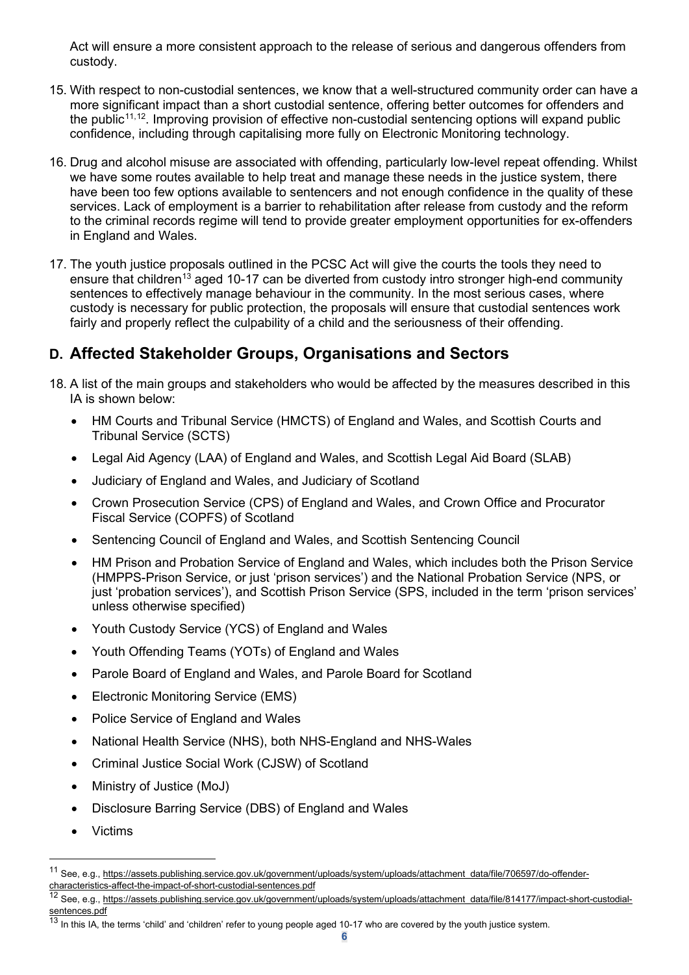Act will ensure a more consistent approach to the release of serious and dangerous offenders from custody.

- 15. With respect to non-custodial sentences, we know that a well-structured community order can have a more significant impact than a short custodial sentence, offering better outcomes for offenders and the public<sup>[11,](#page-5-0)12</sup>. Improving provision of effective non-custodial sentencing options will expand public confidence, including through capitalising more fully on Electronic Monitoring technology.
- 16. Drug and alcohol misuse are associated with offending, particularly low-level repeat offending. Whilst we have some routes available to help treat and manage these needs in the justice system, there have been too few options available to sentencers and not enough confidence in the quality of these services. Lack of employment is a barrier to rehabilitation after release from custody and the reform to the criminal records regime will tend to provide greater employment opportunities for ex-offenders in England and Wales.
- 17. The youth justice proposals outlined in the PCSC Act will give the courts the tools they need to ensure that children<sup>[13](#page-5-2)</sup> aged 10-17 can be diverted from custody intro stronger high-end community sentences to effectively manage behaviour in the community. In the most serious cases, where custody is necessary for public protection, the proposals will ensure that custodial sentences work fairly and properly reflect the culpability of a child and the seriousness of their offending.

## **D. Affected Stakeholder Groups, Organisations and Sectors**

- 18. A list of the main groups and stakeholders who would be affected by the measures described in this IA is shown below:
	- HM Courts and Tribunal Service (HMCTS) of England and Wales, and Scottish Courts and Tribunal Service (SCTS)
	- Legal Aid Agency (LAA) of England and Wales, and Scottish Legal Aid Board (SLAB)
	- Judiciary of England and Wales, and Judiciary of Scotland
	- Crown Prosecution Service (CPS) of England and Wales, and Crown Office and Procurator Fiscal Service (COPFS) of Scotland
	- Sentencing Council of England and Wales, and Scottish Sentencing Council
	- HM Prison and Probation Service of England and Wales, which includes both the Prison Service (HMPPS-Prison Service, or just 'prison services') and the National Probation Service (NPS, or just 'probation services'), and Scottish Prison Service (SPS, included in the term 'prison services' unless otherwise specified)
	- Youth Custody Service (YCS) of England and Wales
	- Youth Offending Teams (YOTs) of England and Wales
	- Parole Board of England and Wales, and Parole Board for Scotland
	- Electronic Monitoring Service (EMS)
	- Police Service of England and Wales
	- National Health Service (NHS), both NHS-England and NHS-Wales
	- Criminal Justice Social Work (CJSW) of Scotland
	- Ministry of Justice (MoJ)
	- Disclosure Barring Service (DBS) of England and Wales
	- Victims

<span id="page-5-0"></span><sup>11</sup> See, e.g., [https://assets.publishing.service.gov.uk/government/uploads/system/uploads/attachment\\_data/file/706597/do-offender](https://assets.publishing.service.gov.uk/government/uploads/system/uploads/attachment_data/file/706597/do-offender-characteristics-affect-the-impact-of-short-custodial-sentences.pdf)[characteristics-affect-the-impact-of-short-custodial-sentences.pdf](https://assets.publishing.service.gov.uk/government/uploads/system/uploads/attachment_data/file/706597/do-offender-characteristics-affect-the-impact-of-short-custodial-sentences.pdf)

<span id="page-5-1"></span>See, e.g., [https://assets.publishing.service.gov.uk/government/uploads/system/uploads/attachment\\_data/file/814177/impact-short-custodial-](https://assets.publishing.service.gov.uk/government/uploads/system/uploads/attachment_data/file/814177/impact-short-custodial-sentences.pdf)<u>sentences pdf</u>

<span id="page-5-2"></span> $^{13}$  In this IA, the terms 'child' and 'children' refer to young people aged 10-17 who are covered by the youth justice system.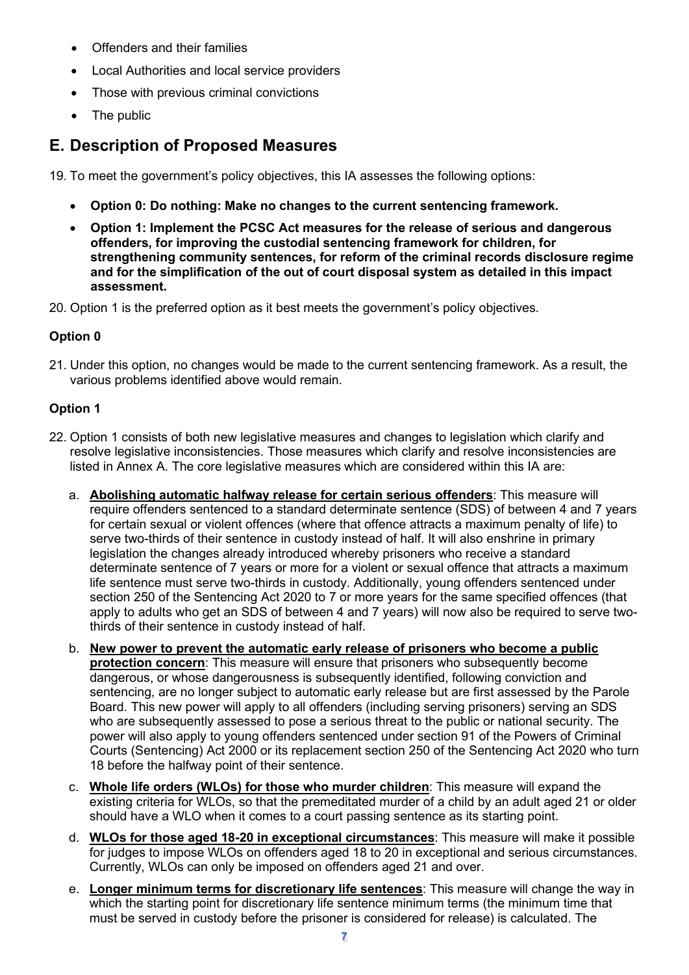- Offenders and their families
- Local Authorities and local service providers
- Those with previous criminal convictions
- The public

## **E. Description of Proposed Measures**

19. To meet the government's policy objectives, this IA assesses the following options:

- **Option 0: Do nothing: Make no changes to the current sentencing framework.**
- **Option 1: Implement the PCSC Act measures for the release of serious and dangerous offenders, for improving the custodial sentencing framework for children, for strengthening community sentences, for reform of the criminal records disclosure regime and for the simplification of the out of court disposal system as detailed in this impact assessment.**
- 20. Option 1 is the preferred option as it best meets the government's policy objectives.

#### **Option 0**

21. Under this option, no changes would be made to the current sentencing framework. As a result, the various problems identified above would remain.

#### **Option 1**

- <span id="page-6-0"></span>22. Option 1 consists of both new legislative measures and changes to legislation which clarify and resolve legislative inconsistencies. Those measures which clarify and resolve inconsistencies are listed in Annex A. The core legislative measures which are considered within this IA are:
	- a. **Abolishing automatic halfway release for certain serious offenders**: This measure will require offenders sentenced to a standard determinate sentence (SDS) of between 4 and 7 years for certain sexual or violent offences (where that offence attracts a maximum penalty of life) to serve two-thirds of their sentence in custody instead of half. It will also enshrine in primary legislation the changes already introduced whereby prisoners who receive a standard determinate sentence of 7 years or more for a violent or sexual offence that attracts a maximum life sentence must serve two-thirds in custody. Additionally, young offenders sentenced under section 250 of the Sentencing Act 2020 to 7 or more years for the same specified offences (that apply to adults who get an SDS of between 4 and 7 years) will now also be required to serve twothirds of their sentence in custody instead of half.
	- b. **New power to prevent the automatic early release of prisoners who become a public protection concern**: This measure will ensure that prisoners who subsequently become dangerous, or whose dangerousness is subsequently identified, following conviction and sentencing, are no longer subject to automatic early release but are first assessed by the Parole Board. This new power will apply to all offenders (including serving prisoners) serving an SDS who are subsequently assessed to pose a serious threat to the public or national security. The power will also apply to young offenders sentenced under section 91 of the Powers of Criminal Courts (Sentencing) Act 2000 or its replacement section 250 of the Sentencing Act 2020 who turn 18 before the halfway point of their sentence.
	- c. **Whole life orders (WLOs) for those who murder children**: This measure will expand the existing criteria for WLOs, so that the premeditated murder of a child by an adult aged 21 or older should have a WLO when it comes to a court passing sentence as its starting point.
	- d. **WLOs for those aged 18-20 in exceptional circumstances**: This measure will make it possible for judges to impose WLOs on offenders aged 18 to 20 in exceptional and serious circumstances. Currently, WLOs can only be imposed on offenders aged 21 and over.
	- e. **Longer minimum terms for discretionary life sentences**: This measure will change the way in which the starting point for discretionary life sentence minimum terms (the minimum time that must be served in custody before the prisoner is considered for release) is calculated. The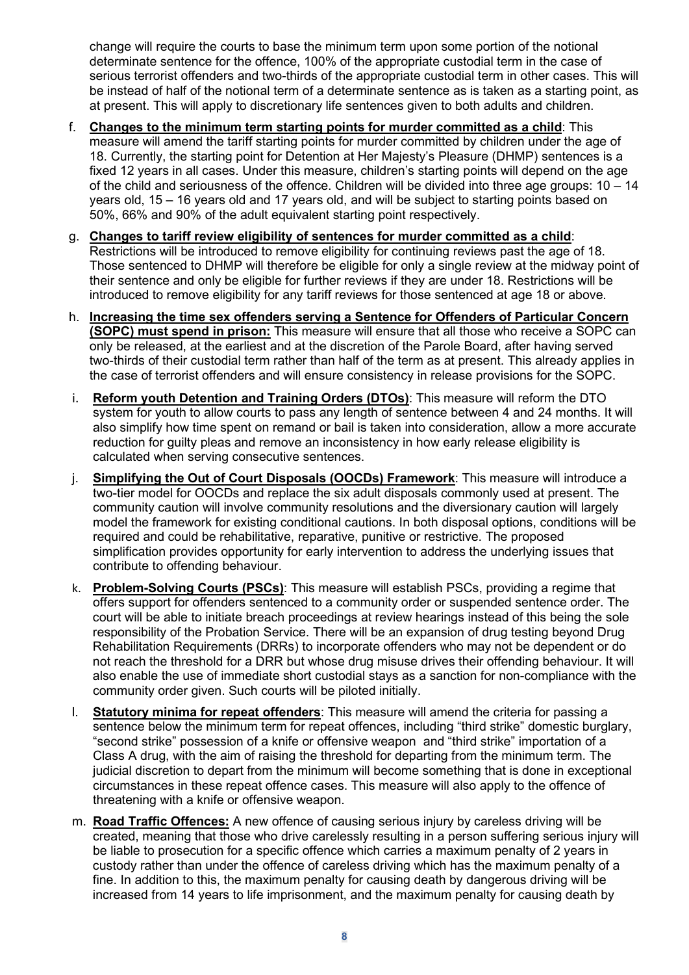change will require the courts to base the minimum term upon some portion of the notional determinate sentence for the offence, 100% of the appropriate custodial term in the case of serious terrorist offenders and two-thirds of the appropriate custodial term in other cases. This will be instead of half of the notional term of a determinate sentence as is taken as a starting point, as at present. This will apply to discretionary life sentences given to both adults and children.

- f. **Changes to the minimum term starting points for murder committed as a child**: This measure will amend the tariff starting points for murder committed by children under the age of 18. Currently, the starting point for Detention at Her Majesty's Pleasure (DHMP) sentences is a fixed 12 years in all cases. Under this measure, children's starting points will depend on the age of the child and seriousness of the offence. Children will be divided into three age groups: 10 – 14 years old, 15 – 16 years old and 17 years old, and will be subject to starting points based on 50%, 66% and 90% of the adult equivalent starting point respectively.
- g. **Changes to tariff review eligibility of sentences for murder committed as a child**: Restrictions will be introduced to remove eligibility for continuing reviews past the age of 18. Those sentenced to DHMP will therefore be eligible for only a single review at the midway point of their sentence and only be eligible for further reviews if they are under 18. Restrictions will be introduced to remove eligibility for any tariff reviews for those sentenced at age 18 or above.
- h. **Increasing the time sex offenders serving a Sentence for Offenders of Particular Concern (SOPC) must spend in prison:** This measure will ensure that all those who receive a SOPC can only be released, at the earliest and at the discretion of the Parole Board, after having served two-thirds of their custodial term rather than half of the term as at present. This already applies in the case of terrorist offenders and will ensure consistency in release provisions for the SOPC.
- i. **Reform youth Detention and Training Orders (DTOs)**: This measure will reform the DTO system for youth to allow courts to pass any length of sentence between 4 and 24 months. It will also simplify how time spent on remand or bail is taken into consideration, allow a more accurate reduction for guilty pleas and remove an inconsistency in how early release eligibility is calculated when serving consecutive sentences.
- j. **Simplifying the Out of Court Disposals (OOCDs) Framework**: This measure will introduce a two-tier model for OOCDs and replace the six adult disposals commonly used at present. The community caution will involve community resolutions and the diversionary caution will largely model the framework for existing conditional cautions. In both disposal options, conditions will be required and could be rehabilitative, reparative, punitive or restrictive. The proposed simplification provides opportunity for early intervention to address the underlying issues that contribute to offending behaviour.
- k. **Problem-Solving Courts (PSCs)**: This measure will establish PSCs, providing a regime that offers support for offenders sentenced to a community order or suspended sentence order. The court will be able to initiate breach proceedings at review hearings instead of this being the sole responsibility of the Probation Service. There will be an expansion of drug testing beyond Drug Rehabilitation Requirements (DRRs) to incorporate offenders who may not be dependent or do not reach the threshold for a DRR but whose drug misuse drives their offending behaviour. It will also enable the use of immediate short custodial stays as a sanction for non-compliance with the community order given. Such courts will be piloted initially.
- l. **Statutory minima for repeat offenders**: This measure will amend the criteria for passing a sentence below the minimum term for repeat offences, including "third strike" domestic burglary, "second strike" possession of a knife or offensive weapon and "third strike" importation of a Class A drug, with the aim of raising the threshold for departing from the minimum term. The judicial discretion to depart from the minimum will become something that is done in exceptional circumstances in these repeat offence cases. This measure will also apply to the offence of threatening with a knife or offensive weapon.
- m. **Road Traffic Offences:** A new offence of causing serious injury by careless driving will be created, meaning that those who drive carelessly resulting in a person suffering serious injury will be liable to prosecution for a specific offence which carries a maximum penalty of 2 years in custody rather than under the offence of careless driving which has the maximum penalty of a fine. In addition to this, the maximum penalty for causing death by dangerous driving will be increased from 14 years to life imprisonment, and the maximum penalty for causing death by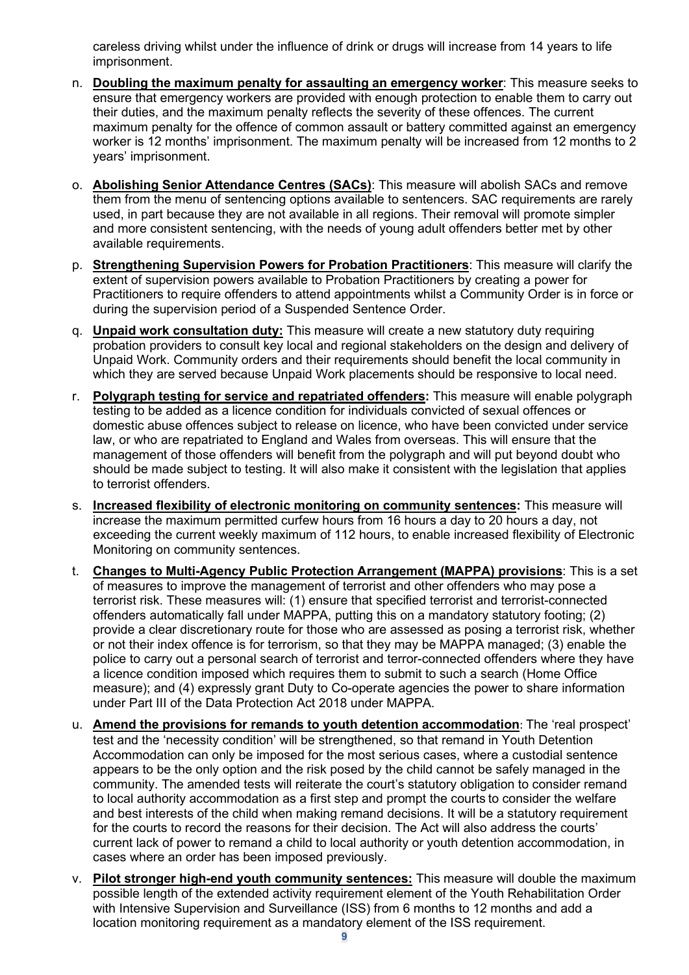careless driving whilst under the influence of drink or drugs will increase from 14 years to life imprisonment.

- n. **Doubling the maximum penalty for assaulting an emergency worker**: This measure seeks to ensure that emergency workers are provided with enough protection to enable them to carry out their duties, and the maximum penalty reflects the severity of these offences. The current maximum penalty for the offence of common assault or battery committed against an emergency worker is 12 months' imprisonment. The maximum penalty will be increased from 12 months to 2 years' imprisonment.
- o. **Abolishing Senior Attendance Centres (SACs)**: This measure will abolish SACs and remove them from the menu of sentencing options available to sentencers. SAC requirements are rarely used, in part because they are not available in all regions. Their removal will promote simpler and more consistent sentencing, with the needs of young adult offenders better met by other available requirements.
- p. **Strengthening Supervision Powers for Probation Practitioners**: This measure will clarify the extent of supervision powers available to Probation Practitioners by creating a power for Practitioners to require offenders to attend appointments whilst a Community Order is in force or during the supervision period of a Suspended Sentence Order.
- q. **Unpaid work consultation duty:** This measure will create a new statutory duty requiring probation providers to consult key local and regional stakeholders on the design and delivery of Unpaid Work. Community orders and their requirements should benefit the local community in which they are served because Unpaid Work placements should be responsive to local need.
- r. **Polygraph testing for service and repatriated offenders:** This measure will enable polygraph testing to be added as a licence condition for individuals convicted of sexual offences or domestic abuse offences subject to release on licence, who have been convicted under service law, or who are repatriated to England and Wales from overseas. This will ensure that the management of those offenders will benefit from the polygraph and will put beyond doubt who should be made subject to testing. It will also make it consistent with the legislation that applies to terrorist offenders.
- s. **Increased flexibility of electronic monitoring on community sentences:** This measure will increase the maximum permitted curfew hours from 16 hours a day to 20 hours a day, not exceeding the current weekly maximum of 112 hours, to enable increased flexibility of Electronic Monitoring on community sentences.
- t. **Changes to Multi-Agency Public Protection Arrangement (MAPPA) provisions**: This is a set of measures to improve the management of terrorist and other offenders who may pose a terrorist risk. These measures will: (1) ensure that specified terrorist and terrorist-connected offenders automatically fall under MAPPA, putting this on a mandatory statutory footing; (2) provide a clear discretionary route for those who are assessed as posing a terrorist risk, whether or not their index offence is for terrorism, so that they may be MAPPA managed; (3) enable the police to carry out a personal search of terrorist and terror-connected offenders where they have a licence condition imposed which requires them to submit to such a search (Home Office measure); and (4) expressly grant Duty to Co-operate agencies the power to share information under Part III of the Data Protection Act 2018 under MAPPA.
- u. **Amend the provisions for remands to youth detention accommodation**: The 'real prospect' test and the 'necessity condition' will be strengthened, so that remand in Youth Detention Accommodation can only be imposed for the most serious cases, where a custodial sentence appears to be the only option and the risk posed by the child cannot be safely managed in the community. The amended tests will reiterate the court's statutory obligation to consider remand to local authority accommodation as a first step and prompt the courts to consider the welfare and best interests of the child when making remand decisions. It will be a statutory requirement for the courts to record the reasons for their decision. The Act will also address the courts' current lack of power to remand a child to local authority or youth detention accommodation, in cases where an order has been imposed previously.
- v. **Pilot stronger high-end youth community sentences:** This measure will double the maximum possible length of the extended activity requirement element of the Youth Rehabilitation Order with Intensive Supervision and Surveillance (ISS) from 6 months to 12 months and add a location monitoring requirement as a mandatory element of the ISS requirement.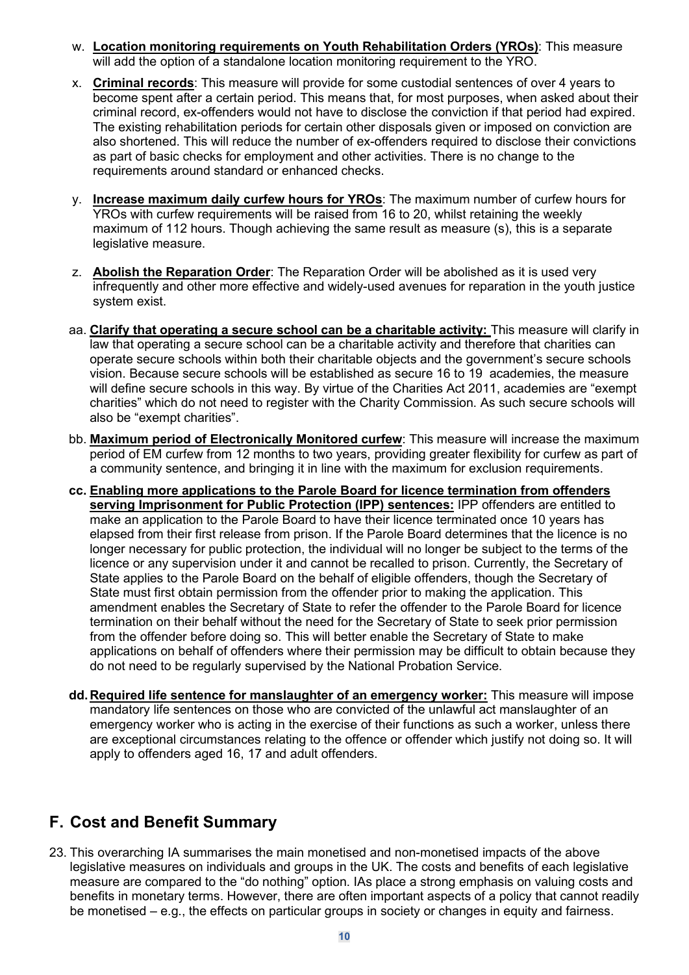- w. **Location monitoring requirements on Youth Rehabilitation Orders (YROs)**: This measure will add the option of a standalone location monitoring requirement to the YRO.
- x. **Criminal records**: This measure will provide for some custodial sentences of over 4 years to become spent after a certain period. This means that, for most purposes, when asked about their criminal record, ex-offenders would not have to disclose the conviction if that period had expired. The existing rehabilitation periods for certain other disposals given or imposed on conviction are also shortened. This will reduce the number of ex-offenders required to disclose their convictions as part of basic checks for employment and other activities. There is no change to the requirements around standard or enhanced checks.
- y. **Increase maximum daily curfew hours for YROs**: The maximum number of curfew hours for YROs with curfew requirements will be raised from 16 to 20, whilst retaining the weekly maximum of 112 hours. Though achieving the same result as measure (s), this is a separate legislative measure.
- z. **Abolish the Reparation Order**: The Reparation Order will be abolished as it is used very infrequently and other more effective and widely-used avenues for reparation in the youth justice system exist.
- aa. **Clarify that operating a secure school can be a charitable activity:** This measure will clarify in law that operating a secure school can be a charitable activity and therefore that charities can operate secure schools within both their charitable objects and the government's secure schools vision. Because secure schools will be established as secure 16 to 19 academies, the measure will define secure schools in this way. By virtue of the Charities Act 2011, academies are "exempt charities" which do not need to register with the Charity Commission. As such secure schools will also be "exempt charities".
- bb. **Maximum period of Electronically Monitored curfew**: This measure will increase the maximum period of EM curfew from 12 months to two years, providing greater flexibility for curfew as part of a community sentence, and bringing it in line with the maximum for exclusion requirements.
- **cc. Enabling more applications to the Parole Board for licence termination from offenders serving Imprisonment for Public Protection (IPP) sentences:** IPP offenders are entitled to make an application to the Parole Board to have their licence terminated once 10 years has elapsed from their first release from prison. If the Parole Board determines that the licence is no longer necessary for public protection, the individual will no longer be subject to the terms of the licence or any supervision under it and cannot be recalled to prison. Currently, the Secretary of State applies to the Parole Board on the behalf of eligible offenders, though the Secretary of State must first obtain permission from the offender prior to making the application. This amendment enables the Secretary of State to refer the offender to the Parole Board for licence termination on their behalf without the need for the Secretary of State to seek prior permission from the offender before doing so. This will better enable the Secretary of State to make applications on behalf of offenders where their permission may be difficult to obtain because they do not need to be regularly supervised by the National Probation Service.
- **dd.Required life sentence for manslaughter of an emergency worker:** This measure will impose mandatory life sentences on those who are convicted of the unlawful act manslaughter of an emergency worker who is acting in the exercise of their functions as such a worker, unless there are exceptional circumstances relating to the offence or offender which justify not doing so. It will apply to offenders aged 16, 17 and adult offenders.

## **F. Cost and Benefit Summary**

23. This overarching IA summarises the main monetised and non-monetised impacts of the above legislative measures on individuals and groups in the UK. The costs and benefits of each legislative measure are compared to the "do nothing" option. IAs place a strong emphasis on valuing costs and benefits in monetary terms. However, there are often important aspects of a policy that cannot readily be monetised – e.g., the effects on particular groups in society or changes in equity and fairness.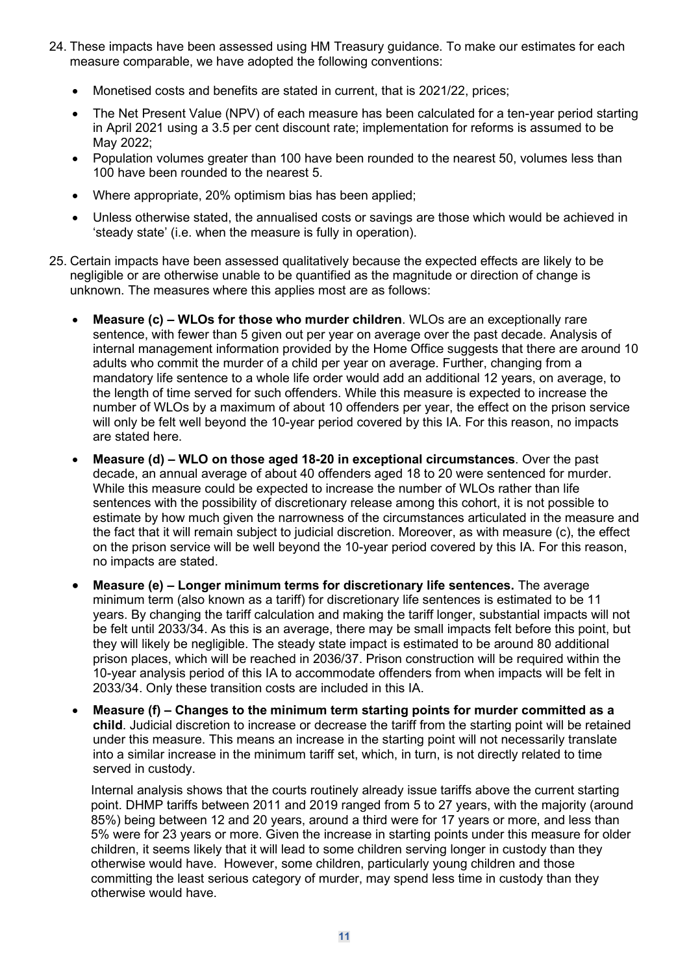- 24. These impacts have been assessed using HM Treasury guidance. To make our estimates for each measure comparable, we have adopted the following conventions:
	- Monetised costs and benefits are stated in current, that is 2021/22, prices;
	- The Net Present Value (NPV) of each measure has been calculated for a ten-year period starting in April 2021 using a 3.5 per cent discount rate; implementation for reforms is assumed to be May 2022;
	- Population volumes greater than 100 have been rounded to the nearest 50, volumes less than 100 have been rounded to the nearest 5.
	- Where appropriate, 20% optimism bias has been applied;
	- Unless otherwise stated, the annualised costs or savings are those which would be achieved in 'steady state' (i.e. when the measure is fully in operation).
- 25. Certain impacts have been assessed qualitatively because the expected effects are likely to be negligible or are otherwise unable to be quantified as the magnitude or direction of change is unknown. The measures where this applies most are as follows:
	- **Measure (c) – WLOs for those who murder children**. WLOs are an exceptionally rare sentence, with fewer than 5 given out per year on average over the past decade. Analysis of internal management information provided by the Home Office suggests that there are around 10 adults who commit the murder of a child per year on average. Further, changing from a mandatory life sentence to a whole life order would add an additional 12 years, on average, to the length of time served for such offenders. While this measure is expected to increase the number of WLOs by a maximum of about 10 offenders per year, the effect on the prison service will only be felt well beyond the 10-year period covered by this IA. For this reason, no impacts are stated here.
	- **Measure (d) – WLO on those aged 18-20 in exceptional circumstances**. Over the past decade, an annual average of about 40 offenders aged 18 to 20 were sentenced for murder. While this measure could be expected to increase the number of WLOs rather than life sentences with the possibility of discretionary release among this cohort, it is not possible to estimate by how much given the narrowness of the circumstances articulated in the measure and the fact that it will remain subject to judicial discretion. Moreover, as with measure [\(c\)](#page-6-0), the effect on the prison service will be well beyond the 10-year period covered by this IA. For this reason, no impacts are stated.
	- **Measure (e) – Longer minimum terms for discretionary life sentences.** The average minimum term (also known as a tariff) for discretionary life sentences is estimated to be 11 years. By changing the tariff calculation and making the tariff longer, substantial impacts will not be felt until 2033/34. As this is an average, there may be small impacts felt before this point, but they will likely be negligible. The steady state impact is estimated to be around 80 additional prison places, which will be reached in 2036/37. Prison construction will be required within the 10-year analysis period of this IA to accommodate offenders from when impacts will be felt in 2033/34. Only these transition costs are included in this IA.
	- **Measure (f) – Changes to the minimum term starting points for murder committed as a child**. Judicial discretion to increase or decrease the tariff from the starting point will be retained under this measure. This means an increase in the starting point will not necessarily translate into a similar increase in the minimum tariff set, which, in turn, is not directly related to time served in custody.

Internal analysis shows that the courts routinely already issue tariffs above the current starting point. DHMP tariffs between 2011 and 2019 ranged from 5 to 27 years, with the majority (around 85%) being between 12 and 20 years, around a third were for 17 years or more, and less than 5% were for 23 years or more. Given the increase in starting points under this measure for older children, it seems likely that it will lead to some children serving longer in custody than they otherwise would have. However, some children, particularly young children and those committing the least serious category of murder, may spend less time in custody than they otherwise would have.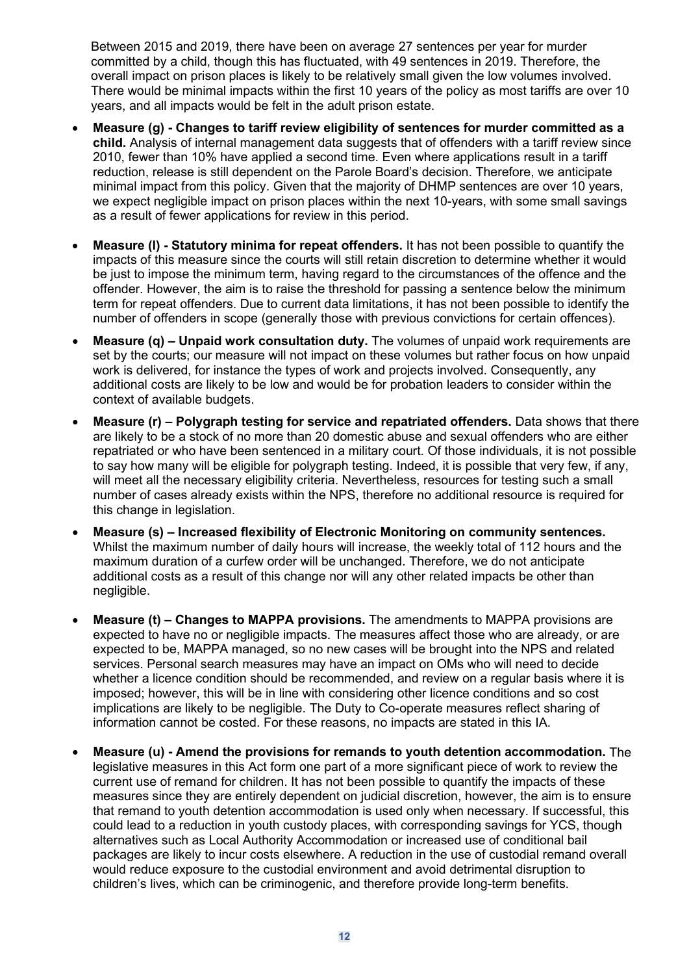Between 2015 and 2019, there have been on average 27 sentences per year for murder committed by a child, though this has fluctuated, with 49 sentences in 2019. Therefore, the overall impact on prison places is likely to be relatively small given the low volumes involved. There would be minimal impacts within the first 10 years of the policy as most tariffs are over 10 years, and all impacts would be felt in the adult prison estate.

- **Measure (g) - Changes to tariff review eligibility of sentences for murder committed as a child.** Analysis of internal management data suggests that of offenders with a tariff review since 2010, fewer than 10% have applied a second time. Even where applications result in a tariff reduction, release is still dependent on the Parole Board's decision. Therefore, we anticipate minimal impact from this policy. Given that the majority of DHMP sentences are over 10 years, we expect negligible impact on prison places within the next 10-years, with some small savings as a result of fewer applications for review in this period.
- **Measure (l) - Statutory minima for repeat offenders.** It has not been possible to quantify the impacts of this measure since the courts will still retain discretion to determine whether it would be just to impose the minimum term, having regard to the circumstances of the offence and the offender. However, the aim is to raise the threshold for passing a sentence below the minimum term for repeat offenders. Due to current data limitations, it has not been possible to identify the number of offenders in scope (generally those with previous convictions for certain offences).
- **Measure (q) – Unpaid work consultation duty.** The volumes of unpaid work requirements are set by the courts; our measure will not impact on these volumes but rather focus on how unpaid work is delivered, for instance the types of work and projects involved. Consequently, any additional costs are likely to be low and would be for probation leaders to consider within the context of available budgets.
- **Measure (r) – Polygraph testing for service and repatriated offenders.** Data shows that there are likely to be a stock of no more than 20 domestic abuse and sexual offenders who are either repatriated or who have been sentenced in a military court. Of those individuals, it is not possible to say how many will be eligible for polygraph testing. Indeed, it is possible that very few, if any, will meet all the necessary eligibility criteria. Nevertheless, resources for testing such a small number of cases already exists within the NPS, therefore no additional resource is required for this change in legislation.
- **Measure (s) – Increased flexibility of Electronic Monitoring on community sentences.** Whilst the maximum number of daily hours will increase, the weekly total of 112 hours and the maximum duration of a curfew order will be unchanged. Therefore, we do not anticipate additional costs as a result of this change nor will any other related impacts be other than negligible.
- **Measure (t) – Changes to MAPPA provisions.** The amendments to MAPPA provisions are expected to have no or negligible impacts. The measures affect those who are already, or are expected to be, MAPPA managed, so no new cases will be brought into the NPS and related services. Personal search measures may have an impact on OMs who will need to decide whether a licence condition should be recommended, and review on a regular basis where it is imposed; however, this will be in line with considering other licence conditions and so cost implications are likely to be negligible. The Duty to Co-operate measures reflect sharing of information cannot be costed. For these reasons, no impacts are stated in this IA.
- **Measure (u) - Amend the provisions for remands to youth detention accommodation.** The legislative measures in this Act form one part of a more significant piece of work to review the current use of remand for children. It has not been possible to quantify the impacts of these measures since they are entirely dependent on judicial discretion, however, the aim is to ensure that remand to youth detention accommodation is used only when necessary. If successful, this could lead to a reduction in youth custody places, with corresponding savings for YCS, though alternatives such as Local Authority Accommodation or increased use of conditional bail packages are likely to incur costs elsewhere. A reduction in the use of custodial remand overall would reduce exposure to the custodial environment and avoid detrimental disruption to children's lives, which can be criminogenic, and therefore provide long-term benefits.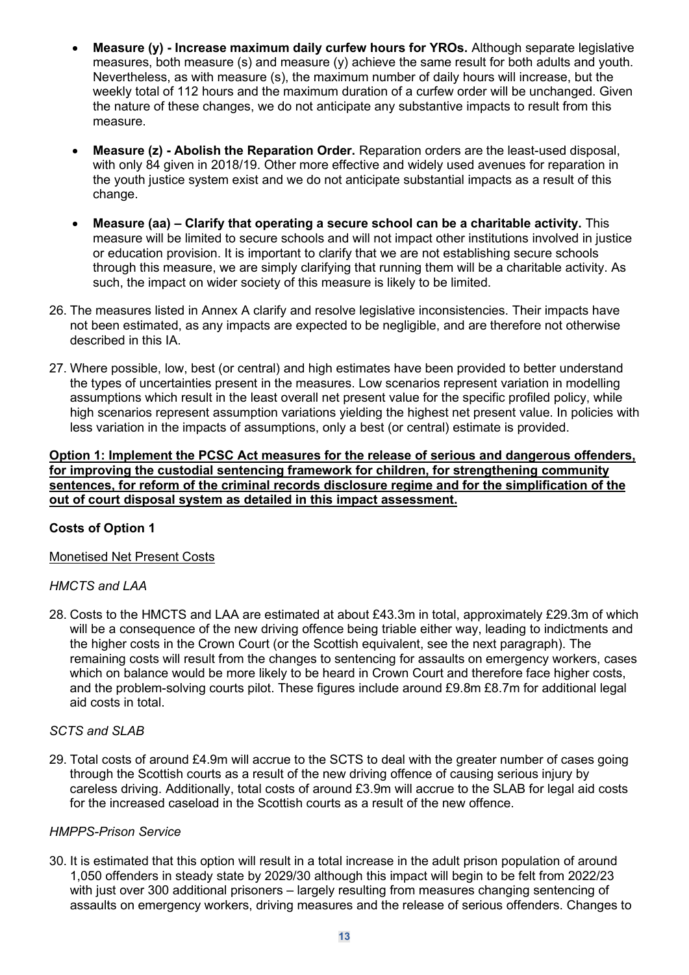- **Measure (y) - Increase maximum daily curfew hours for YROs.** Although separate legislative measures, both measure (s) and measure (y) achieve the same result for both adults and youth. Nevertheless, as with measure (s), the maximum number of daily hours will increase, but the weekly total of 112 hours and the maximum duration of a curfew order will be unchanged. Given the nature of these changes, we do not anticipate any substantive impacts to result from this measure.
- **Measure (z) - Abolish the Reparation Order.** Reparation orders are the least-used disposal, with only 84 given in 2018/19. Other more effective and widely used avenues for reparation in the youth justice system exist and we do not anticipate substantial impacts as a result of this change.
- **Measure (aa) – Clarify that operating a secure school can be a charitable activity.** This measure will be limited to secure schools and will not impact other institutions involved in justice or education provision. It is important to clarify that we are not establishing secure schools through this measure, we are simply clarifying that running them will be a charitable activity. As such, the impact on wider society of this measure is likely to be limited.
- 26. The measures listed in Annex A clarify and resolve legislative inconsistencies. Their impacts have not been estimated, as any impacts are expected to be negligible, and are therefore not otherwise described in this IA.
- 27. Where possible, low, best (or central) and high estimates have been provided to better understand the types of uncertainties present in the measures. Low scenarios represent variation in modelling assumptions which result in the least overall net present value for the specific profiled policy, while high scenarios represent assumption variations yielding the highest net present value. In policies with less variation in the impacts of assumptions, only a best (or central) estimate is provided.

**Option 1: Implement the PCSC Act measures for the release of serious and dangerous offenders, for improving the custodial sentencing framework for children, for strengthening community sentences, for reform of the criminal records disclosure regime and for the simplification of the out of court disposal system as detailed in this impact assessment.**

#### **Costs of Option 1**

#### Monetised Net Present Costs

#### *HMCTS and LAA*

28. Costs to the HMCTS and LAA are estimated at about £43.3m in total, approximately £29.3m of which will be a consequence of the new driving offence being triable either way, leading to indictments and the higher costs in the Crown Court (or the Scottish equivalent, see the next paragraph). The remaining costs will result from the changes to sentencing for assaults on emergency workers, cases which on balance would be more likely to be heard in Crown Court and therefore face higher costs, and the problem-solving courts pilot. These figures include around £9.8m £8.7m for additional legal aid costs in total.

#### *SCTS and SLAB*

29. Total costs of around £4.9m will accrue to the SCTS to deal with the greater number of cases going through the Scottish courts as a result of the new driving offence of causing serious injury by careless driving. Additionally, total costs of around £3.9m will accrue to the SLAB for legal aid costs for the increased caseload in the Scottish courts as a result of the new offence.

#### *HMPPS-Prison Service*

30. It is estimated that this option will result in a total increase in the adult prison population of around 1,050 offenders in steady state by 2029/30 although this impact will begin to be felt from 2022/23 with just over 300 additional prisoners – largely resulting from measures changing sentencing of assaults on emergency workers, driving measures and the release of serious offenders. Changes to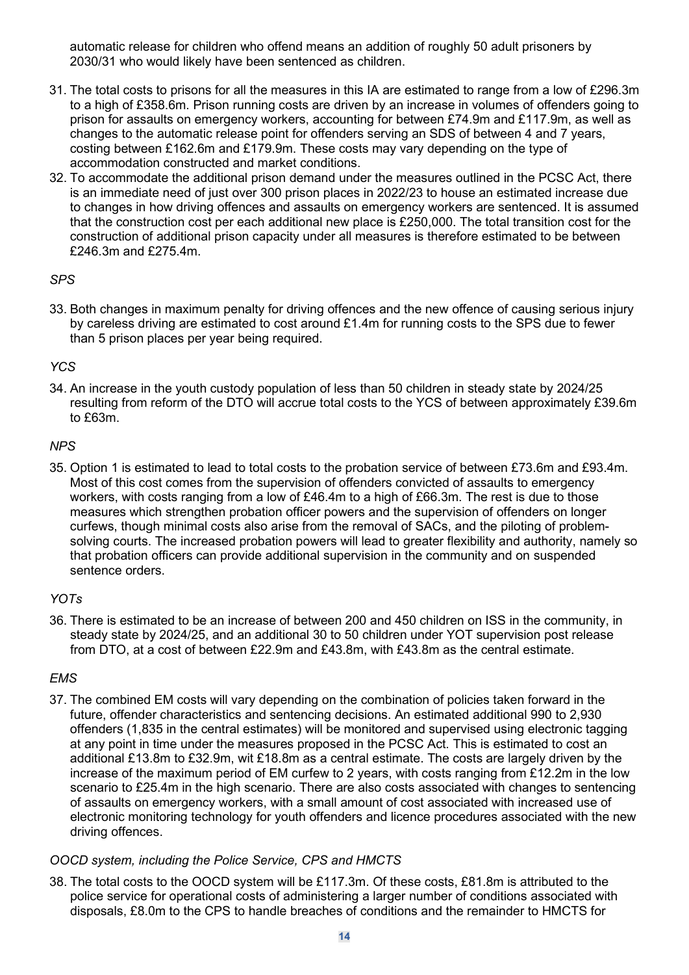automatic release for children who offend means an addition of roughly 50 adult prisoners by 2030/31 who would likely have been sentenced as children.

- 31. The total costs to prisons for all the measures in this IA are estimated to range from a low of £296.3m to a high of £358.6m. Prison running costs are driven by an increase in volumes of offenders going to prison for assaults on emergency workers, accounting for between £74.9m and £117.9m, as well as changes to the automatic release point for offenders serving an SDS of between 4 and 7 years, costing between £162.6m and £179.9m. These costs may vary depending on the type of accommodation constructed and market conditions.
- 32. To accommodate the additional prison demand under the measures outlined in the PCSC Act, there is an immediate need of just over 300 prison places in 2022/23 to house an estimated increase due to changes in how driving offences and assaults on emergency workers are sentenced. It is assumed that the construction cost per each additional new place is £250,000. The total transition cost for the construction of additional prison capacity under all measures is therefore estimated to be between £246.3m and £275.4m.

### *SPS*

33. Both changes in maximum penalty for driving offences and the new offence of causing serious injury by careless driving are estimated to cost around £1.4m for running costs to the SPS due to fewer than 5 prison places per year being required.

### *YCS*

34. An increase in the youth custody population of less than 50 children in steady state by 2024/25 resulting from reform of the DTO will accrue total costs to the YCS of between approximately £39.6m to £63m.

#### *NPS*

35. Option 1 is estimated to lead to total costs to the probation service of between £73.6m and £93.4m. Most of this cost comes from the supervision of offenders convicted of assaults to emergency workers, with costs ranging from a low of £46.4m to a high of £66.3m. The rest is due to those measures which strengthen probation officer powers and the supervision of offenders on longer curfews, though minimal costs also arise from the removal of SACs, and the piloting of problemsolving courts. The increased probation powers will lead to greater flexibility and authority, namely so that probation officers can provide additional supervision in the community and on suspended sentence orders.

#### *YOTs*

36. There is estimated to be an increase of between 200 and 450 children on ISS in the community, in steady state by 2024/25, and an additional 30 to 50 children under YOT supervision post release from DTO, at a cost of between £22.9m and £43.8m, with £43.8m as the central estimate.

#### *EMS*

37. The combined EM costs will vary depending on the combination of policies taken forward in the future, offender characteristics and sentencing decisions. An estimated additional 990 to 2,930 offenders (1,835 in the central estimates) will be monitored and supervised using electronic tagging at any point in time under the measures proposed in the PCSC Act. This is estimated to cost an additional £13.8m to £32.9m, wit £18.8m as a central estimate. The costs are largely driven by the increase of the maximum period of EM curfew to 2 years, with costs ranging from £12.2m in the low scenario to £25.4m in the high scenario. There are also costs associated with changes to sentencing of assaults on emergency workers, with a small amount of cost associated with increased use of electronic monitoring technology for youth offenders and licence procedures associated with the new driving offences.

#### *OOCD system, including the Police Service, CPS and HMCTS*

38. The total costs to the OOCD system will be £117.3m. Of these costs, £81.8m is attributed to the police service for operational costs of administering a larger number of conditions associated with disposals, £8.0m to the CPS to handle breaches of conditions and the remainder to HMCTS for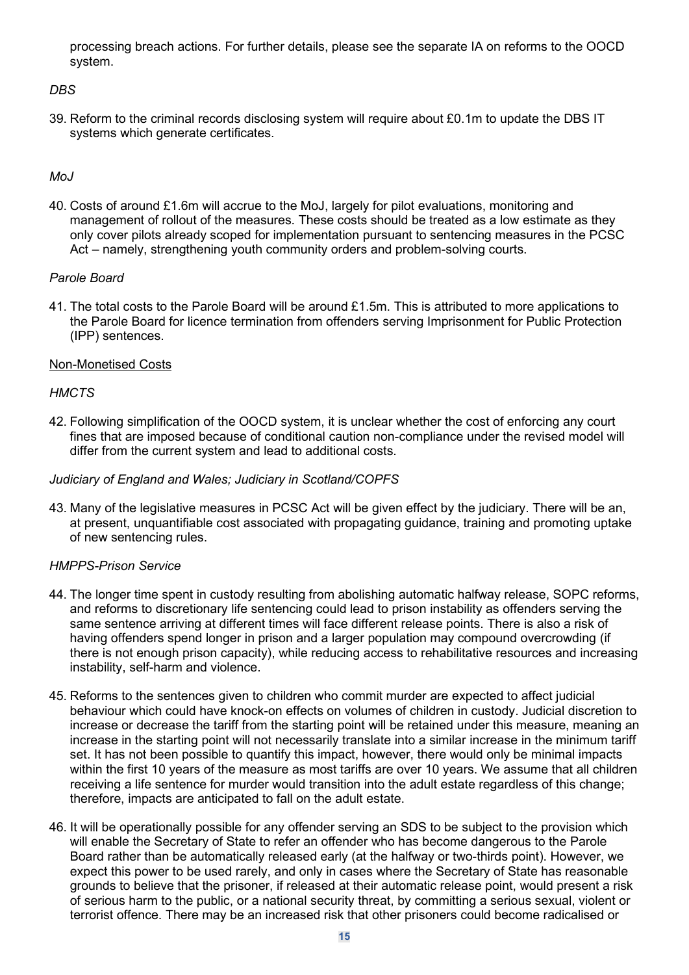processing breach actions. For further details, please see the separate IA on reforms to the OOCD system.

#### *DBS*

39. Reform to the criminal records disclosing system will require about £0.1m to update the DBS IT systems which generate certificates.

#### *MoJ*

40. Costs of around £1.6m will accrue to the MoJ, largely for pilot evaluations, monitoring and management of rollout of the measures. These costs should be treated as a low estimate as they only cover pilots already scoped for implementation pursuant to sentencing measures in the PCSC Act – namely, strengthening youth community orders and problem-solving courts.

#### *Parole Board*

41. The total costs to the Parole Board will be around £1.5m. This is attributed to more applications to the Parole Board for licence termination from offenders serving Imprisonment for Public Protection (IPP) sentences.

#### Non-Monetised Costs

#### *HMCTS*

42. Following simplification of the OOCD system, it is unclear whether the cost of enforcing any court fines that are imposed because of conditional caution non-compliance under the revised model will differ from the current system and lead to additional costs.

#### *Judiciary of England and Wales; Judiciary in Scotland/COPFS*

43. Many of the legislative measures in PCSC Act will be given effect by the judiciary. There will be an, at present, unquantifiable cost associated with propagating guidance, training and promoting uptake of new sentencing rules.

#### *HMPPS-Prison Service*

- 44. The longer time spent in custody resulting from abolishing automatic halfway release, SOPC reforms, and reforms to discretionary life sentencing could lead to prison instability as offenders serving the same sentence arriving at different times will face different release points. There is also a risk of having offenders spend longer in prison and a larger population may compound overcrowding (if there is not enough prison capacity), while reducing access to rehabilitative resources and increasing instability, self-harm and violence.
- 45. Reforms to the sentences given to children who commit murder are expected to affect judicial behaviour which could have knock-on effects on volumes of children in custody. Judicial discretion to increase or decrease the tariff from the starting point will be retained under this measure, meaning an increase in the starting point will not necessarily translate into a similar increase in the minimum tariff set. It has not been possible to quantify this impact, however, there would only be minimal impacts within the first 10 years of the measure as most tariffs are over 10 years. We assume that all children receiving a life sentence for murder would transition into the adult estate regardless of this change; therefore, impacts are anticipated to fall on the adult estate.
- 46. It will be operationally possible for any offender serving an SDS to be subject to the provision which will enable the Secretary of State to refer an offender who has become dangerous to the Parole Board rather than be automatically released early (at the halfway or two-thirds point). However, we expect this power to be used rarely, and only in cases where the Secretary of State has reasonable grounds to believe that the prisoner, if released at their automatic release point, would present a risk of serious harm to the public, or a national security threat, by committing a serious sexual, violent or terrorist offence. There may be an increased risk that other prisoners could become radicalised or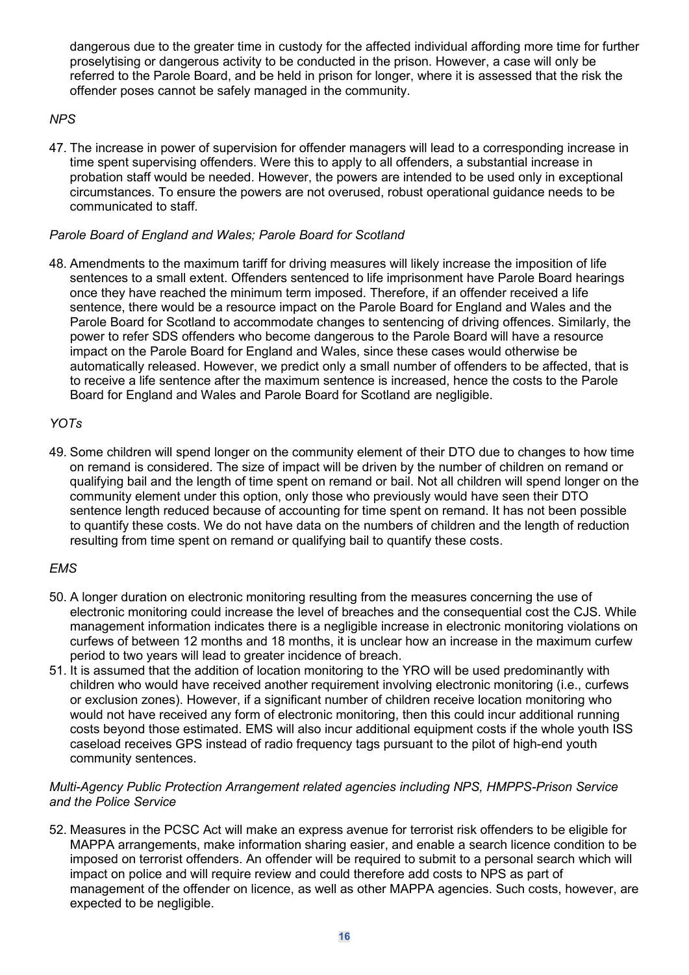dangerous due to the greater time in custody for the affected individual affording more time for further proselytising or dangerous activity to be conducted in the prison. However, a case will only be referred to the Parole Board, and be held in prison for longer, where it is assessed that the risk the offender poses cannot be safely managed in the community.

### *NPS*

47. The increase in power of supervision for offender managers will lead to a corresponding increase in time spent supervising offenders. Were this to apply to all offenders, a substantial increase in probation staff would be needed. However, the powers are intended to be used only in exceptional circumstances. To ensure the powers are not overused, robust operational guidance needs to be communicated to staff.

#### *Parole Board of England and Wales; Parole Board for Scotland*

48. Amendments to the maximum tariff for driving measures will likely increase the imposition of life sentences to a small extent. Offenders sentenced to life imprisonment have Parole Board hearings once they have reached the minimum term imposed. Therefore, if an offender received a life sentence, there would be a resource impact on the Parole Board for England and Wales and the Parole Board for Scotland to accommodate changes to sentencing of driving offences. Similarly, the power to refer SDS offenders who become dangerous to the Parole Board will have a resource impact on the Parole Board for England and Wales, since these cases would otherwise be automatically released. However, we predict only a small number of offenders to be affected, that is to receive a life sentence after the maximum sentence is increased, hence the costs to the Parole Board for England and Wales and Parole Board for Scotland are negligible.

### *YOTs*

49. Some children will spend longer on the community element of their DTO due to changes to how time on remand is considered. The size of impact will be driven by the number of children on remand or qualifying bail and the length of time spent on remand or bail. Not all children will spend longer on the community element under this option, only those who previously would have seen their DTO sentence length reduced because of accounting for time spent on remand. It has not been possible to quantify these costs. We do not have data on the numbers of children and the length of reduction resulting from time spent on remand or qualifying bail to quantify these costs.

#### *EMS*

- 50. A longer duration on electronic monitoring resulting from the measures concerning the use of electronic monitoring could increase the level of breaches and the consequential cost the CJS. While management information indicates there is a negligible increase in electronic monitoring violations on curfews of between 12 months and 18 months, it is unclear how an increase in the maximum curfew period to two years will lead to greater incidence of breach.
- 51. It is assumed that the addition of location monitoring to the YRO will be used predominantly with children who would have received another requirement involving electronic monitoring (i.e., curfews or exclusion zones). However, if a significant number of children receive location monitoring who would not have received any form of electronic monitoring, then this could incur additional running costs beyond those estimated. EMS will also incur additional equipment costs if the whole youth ISS caseload receives GPS instead of radio frequency tags pursuant to the pilot of high-end youth community sentences.

#### *Multi-Agency Public Protection Arrangement related agencies including NPS, HMPPS-Prison Service and the Police Service*

52. Measures in the PCSC Act will make an express avenue for terrorist risk offenders to be eligible for MAPPA arrangements, make information sharing easier, and enable a search licence condition to be imposed on terrorist offenders. An offender will be required to submit to a personal search which will impact on police and will require review and could therefore add costs to NPS as part of management of the offender on licence, as well as other MAPPA agencies. Such costs, however, are expected to be negligible.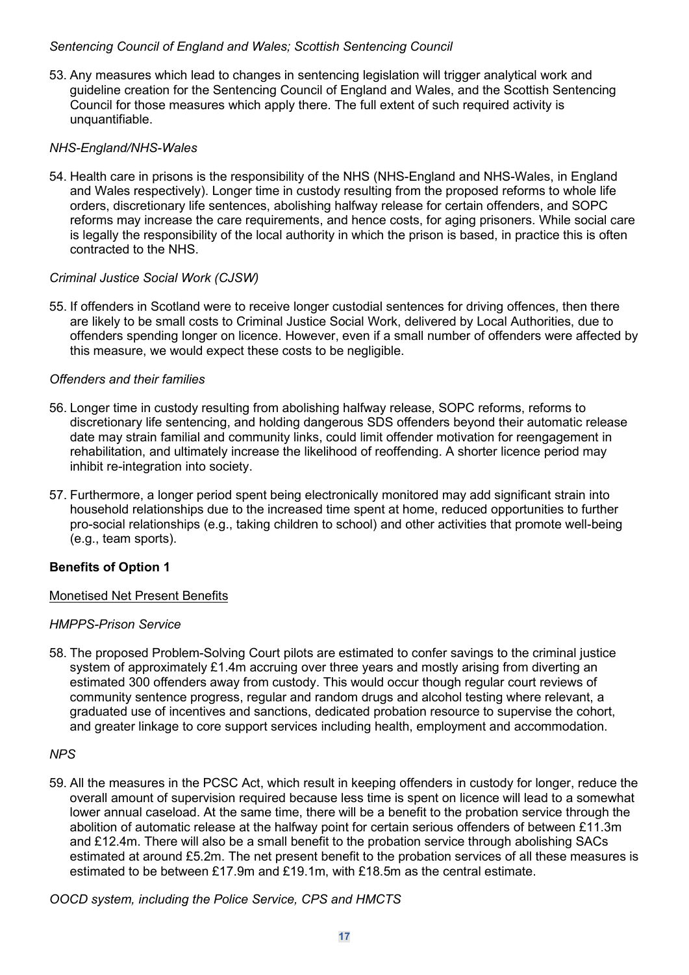#### *Sentencing Council of England and Wales; Scottish Sentencing Council*

53. Any measures which lead to changes in sentencing legislation will trigger analytical work and guideline creation for the Sentencing Council of England and Wales, and the Scottish Sentencing Council for those measures which apply there. The full extent of such required activity is unquantifiable.

#### *NHS-England/NHS-Wales*

54. Health care in prisons is the responsibility of the NHS (NHS-England and NHS-Wales, in England and Wales respectively). Longer time in custody resulting from the proposed reforms to whole life orders, discretionary life sentences, abolishing halfway release for certain offenders, and SOPC reforms may increase the care requirements, and hence costs, for aging prisoners. While social care is legally the responsibility of the local authority in which the prison is based, in practice this is often contracted to the NHS.

#### *Criminal Justice Social Work (CJSW)*

55. If offenders in Scotland were to receive longer custodial sentences for driving offences, then there are likely to be small costs to Criminal Justice Social Work, delivered by Local Authorities, due to offenders spending longer on licence. However, even if a small number of offenders were affected by this measure, we would expect these costs to be negligible.

#### *Offenders and their families*

- 56. Longer time in custody resulting from abolishing halfway release, SOPC reforms, reforms to discretionary life sentencing, and holding dangerous SDS offenders beyond their automatic release date may strain familial and community links, could limit offender motivation for reengagement in rehabilitation, and ultimately increase the likelihood of reoffending. A shorter licence period may inhibit re-integration into society.
- 57. Furthermore, a longer period spent being electronically monitored may add significant strain into household relationships due to the increased time spent at home, reduced opportunities to further pro-social relationships (e.g., taking children to school) and other activities that promote well-being (e.g., team sports).

#### **Benefits of Option 1**

#### Monetised Net Present Benefits

#### *HMPPS-Prison Service*

58. The proposed Problem-Solving Court pilots are estimated to confer savings to the criminal justice system of approximately £1.4m accruing over three years and mostly arising from diverting an estimated 300 offenders away from custody. This would occur though regular court reviews of community sentence progress, regular and random drugs and alcohol testing where relevant, a graduated use of incentives and sanctions, dedicated probation resource to supervise the cohort, and greater linkage to core support services including health, employment and accommodation.

#### *NPS*

59. All the measures in the PCSC Act, which result in keeping offenders in custody for longer, reduce the overall amount of supervision required because less time is spent on licence will lead to a somewhat lower annual caseload. At the same time, there will be a benefit to the probation service through the abolition of automatic release at the halfway point for certain serious offenders of between £11.3m and £12.4m. There will also be a small benefit to the probation service through abolishing SACs estimated at around £5.2m. The net present benefit to the probation services of all these measures is estimated to be between £17.9m and £19.1m, with £18.5m as the central estimate.

*OOCD system, including the Police Service, CPS and HMCTS*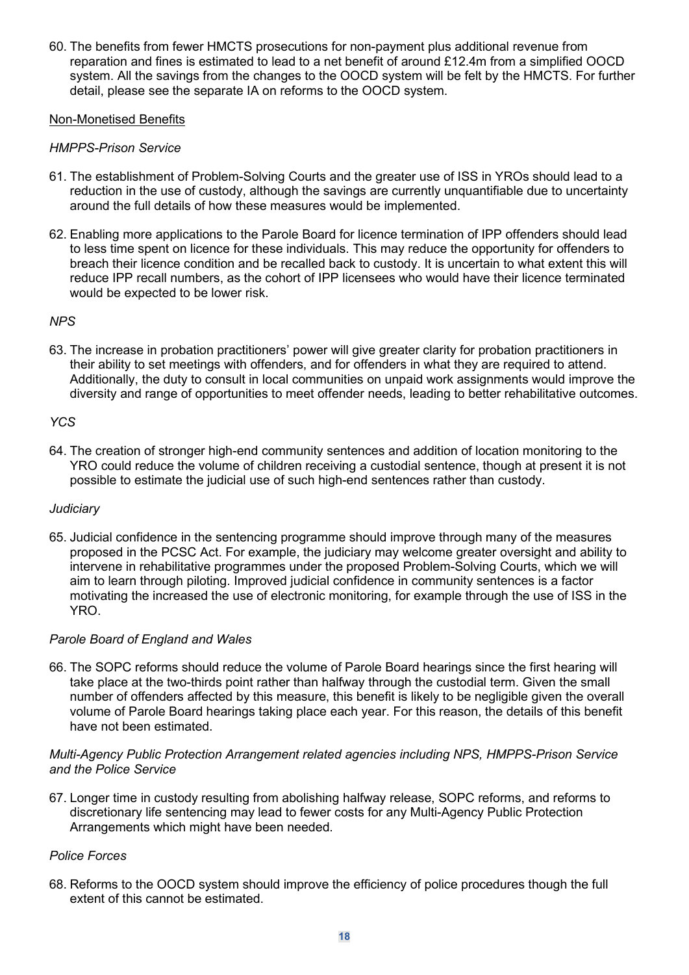60. The benefits from fewer HMCTS prosecutions for non-payment plus additional revenue from reparation and fines is estimated to lead to a net benefit of around £12.4m from a simplified OOCD system. All the savings from the changes to the OOCD system will be felt by the HMCTS. For further detail, please see the separate IA on reforms to the OOCD system.

#### Non-Monetised Benefits

#### *HMPPS-Prison Service*

- 61. The establishment of Problem-Solving Courts and the greater use of ISS in YROs should lead to a reduction in the use of custody, although the savings are currently unquantifiable due to uncertainty around the full details of how these measures would be implemented.
- 62. Enabling more applications to the Parole Board for licence termination of IPP offenders should lead to less time spent on licence for these individuals. This may reduce the opportunity for offenders to breach their licence condition and be recalled back to custody. It is uncertain to what extent this will reduce IPP recall numbers, as the cohort of IPP licensees who would have their licence terminated would be expected to be lower risk.

#### *NPS*

63. The increase in probation practitioners' power will give greater clarity for probation practitioners in their ability to set meetings with offenders, and for offenders in what they are required to attend. Additionally, the duty to consult in local communities on unpaid work assignments would improve the diversity and range of opportunities to meet offender needs, leading to better rehabilitative outcomes.

#### *YCS*

64. The creation of stronger high-end community sentences and addition of location monitoring to the YRO could reduce the volume of children receiving a custodial sentence, though at present it is not possible to estimate the judicial use of such high-end sentences rather than custody.

#### *Judiciary*

65. Judicial confidence in the sentencing programme should improve through many of the measures proposed in the PCSC Act. For example, the judiciary may welcome greater oversight and ability to intervene in rehabilitative programmes under the proposed Problem-Solving Courts, which we will aim to learn through piloting. Improved judicial confidence in community sentences is a factor motivating the increased the use of electronic monitoring, for example through the use of ISS in the YRO.

#### *Parole Board of England and Wales*

66. The SOPC reforms should reduce the volume of Parole Board hearings since the first hearing will take place at the two-thirds point rather than halfway through the custodial term. Given the small number of offenders affected by this measure, this benefit is likely to be negligible given the overall volume of Parole Board hearings taking place each year. For this reason, the details of this benefit have not been estimated.

#### *Multi-Agency Public Protection Arrangement related agencies including NPS, HMPPS-Prison Service and the Police Service*

67. Longer time in custody resulting from abolishing halfway release, SOPC reforms, and reforms to discretionary life sentencing may lead to fewer costs for any Multi-Agency Public Protection Arrangements which might have been needed.

#### *Police Forces*

68. Reforms to the OOCD system should improve the efficiency of police procedures though the full extent of this cannot be estimated.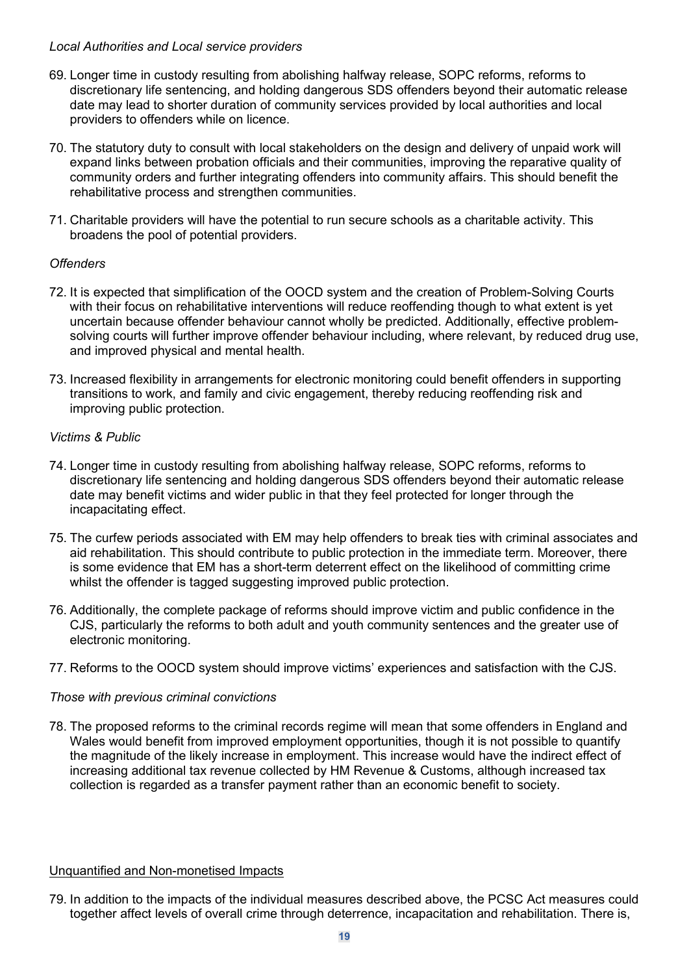#### *Local Authorities and Local service providers*

- 69. Longer time in custody resulting from abolishing halfway release, SOPC reforms, reforms to discretionary life sentencing, and holding dangerous SDS offenders beyond their automatic release date may lead to shorter duration of community services provided by local authorities and local providers to offenders while on licence.
- 70. The statutory duty to consult with local stakeholders on the design and delivery of unpaid work will expand links between probation officials and their communities, improving the reparative quality of community orders and further integrating offenders into community affairs. This should benefit the rehabilitative process and strengthen communities.
- 71. Charitable providers will have the potential to run secure schools as a charitable activity. This broadens the pool of potential providers.

#### *Offenders*

- 72. It is expected that simplification of the OOCD system and the creation of Problem-Solving Courts with their focus on rehabilitative interventions will reduce reoffending though to what extent is yet uncertain because offender behaviour cannot wholly be predicted. Additionally, effective problemsolving courts will further improve offender behaviour including, where relevant, by reduced drug use, and improved physical and mental health.
- 73. Increased flexibility in arrangements for electronic monitoring could benefit offenders in supporting transitions to work, and family and civic engagement, thereby reducing reoffending risk and improving public protection.

#### *Victims & Public*

- 74. Longer time in custody resulting from abolishing halfway release, SOPC reforms, reforms to discretionary life sentencing and holding dangerous SDS offenders beyond their automatic release date may benefit victims and wider public in that they feel protected for longer through the incapacitating effect.
- 75. The curfew periods associated with EM may help offenders to break ties with criminal associates and aid rehabilitation. This should contribute to public protection in the immediate term. Moreover, there is some evidence that EM has a short-term deterrent effect on the likelihood of committing crime whilst the offender is tagged suggesting improved public protection.
- 76. Additionally, the complete package of reforms should improve victim and public confidence in the CJS, particularly the reforms to both adult and youth community sentences and the greater use of electronic monitoring.
- 77. Reforms to the OOCD system should improve victims' experiences and satisfaction with the CJS.

#### *Those with previous criminal convictions*

78. The proposed reforms to the criminal records regime will mean that some offenders in England and Wales would benefit from improved employment opportunities, though it is not possible to quantify the magnitude of the likely increase in employment. This increase would have the indirect effect of increasing additional tax revenue collected by HM Revenue & Customs, although increased tax collection is regarded as a transfer payment rather than an economic benefit to society.

#### Unquantified and Non-monetised Impacts

79. In addition to the impacts of the individual measures described above, the PCSC Act measures could together affect levels of overall crime through deterrence, incapacitation and rehabilitation. There is,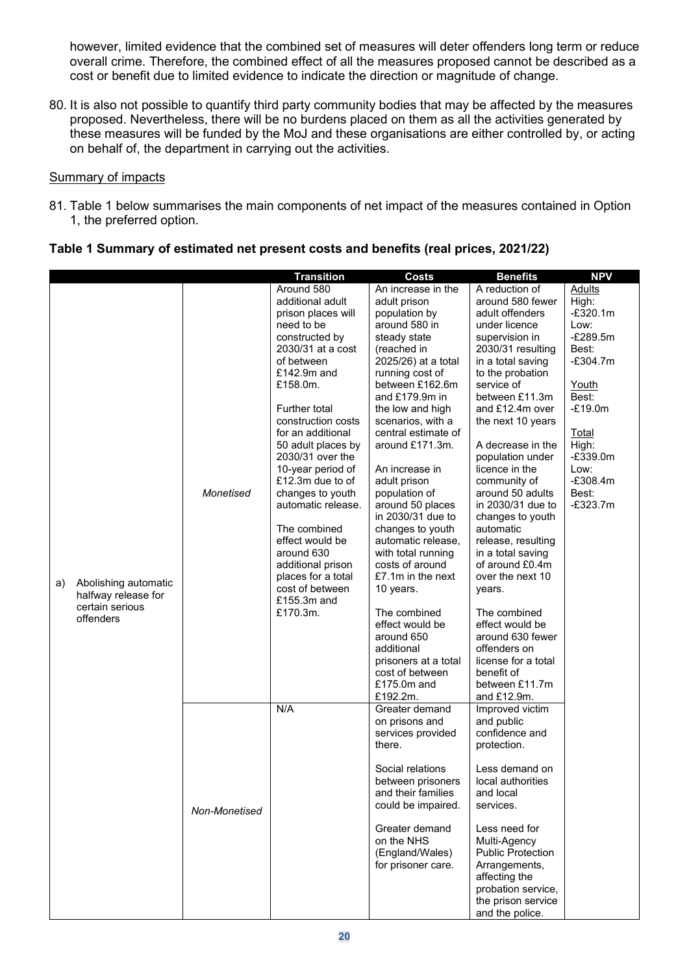however, limited evidence that the combined set of measures will deter offenders long term or reduce overall crime. Therefore, the combined effect of all the measures proposed cannot be described as a cost or benefit due to limited evidence to indicate the direction or magnitude of change.

80. It is also not possible to quantify third party community bodies that may be affected by the measures proposed. Nevertheless, there will be no burdens placed on them as all the activities generated by these measures will be funded by the MoJ and these organisations are either controlled by, or acting on behalf of, the department in carrying out the activities.

#### Summary of impacts

81. Table 1 below summarises the main components of net impact of the measures contained in Option 1, the preferred option.

|    |                      |               | <b>Transition</b>                     | <b>Costs</b>                      | <b>Benefits</b>              | <b>NPV</b>     |
|----|----------------------|---------------|---------------------------------------|-----------------------------------|------------------------------|----------------|
|    |                      |               | Around 580                            | An increase in the                | A reduction of               | <b>Adults</b>  |
|    |                      |               | additional adult                      | adult prison                      | around 580 fewer             | High:          |
|    |                      |               | prison places will                    | population by                     | adult offenders              | $-£320.1m$     |
|    |                      |               | need to be                            | around 580 in                     | under licence                | Low:           |
|    |                      |               | constructed by                        | steady state                      | supervision in               | $-E289.5m$     |
|    |                      |               | 2030/31 at a cost                     | (reached in                       | 2030/31 resulting            | Best:          |
|    |                      |               | of between                            | 2025/26) at a total               | in a total saving            | $-£304.7m$     |
|    |                      |               | £142.9m and                           | running cost of                   | to the probation             |                |
|    |                      |               | £158.0m.                              | between £162.6m<br>and £179.9m in | service of<br>between £11.3m | Youth<br>Best: |
|    |                      |               | <b>Further total</b>                  | the low and high                  | and £12.4m over              | $-£19.0m$      |
|    |                      |               | construction costs                    | scenarios, with a                 | the next 10 years            |                |
|    |                      |               | for an additional                     | central estimate of               |                              | <b>Total</b>   |
|    |                      |               | 50 adult places by                    | around £171.3m.                   | A decrease in the            | High:          |
|    |                      |               | 2030/31 over the                      |                                   | population under             | $-E339.0m$     |
|    |                      |               | 10-year period of                     | An increase in                    | licence in the               | Low:           |
|    |                      |               | £12.3m due to of                      | adult prison                      | community of                 | $-£308.4m$     |
|    |                      | Monetised     | changes to youth                      | population of                     | around 50 adults             | Best:          |
|    |                      |               | automatic release.                    | around 50 places                  | in 2030/31 due to            | $-E323.7m$     |
|    |                      |               |                                       | in 2030/31 due to                 | changes to youth             |                |
|    |                      |               | The combined                          | changes to youth                  | automatic                    |                |
|    |                      |               | effect would be                       | automatic release,                | release, resulting           |                |
|    |                      |               | around 630                            | with total running                | in a total saving            |                |
|    |                      |               | additional prison                     | costs of around                   | of around £0.4m              |                |
| a) | Abolishing automatic |               | places for a total<br>cost of between | £7.1m in the next                 | over the next 10             |                |
|    | halfway release for  |               | £155.3m and                           | 10 years.                         | years.                       |                |
|    | certain serious      |               | £170.3m.                              | The combined                      | The combined                 |                |
|    | offenders            |               |                                       | effect would be                   | effect would be              |                |
|    |                      |               |                                       | around 650                        | around 630 fewer             |                |
|    |                      |               |                                       | additional                        | offenders on                 |                |
|    |                      |               |                                       | prisoners at a total              | license for a total          |                |
|    |                      |               |                                       | cost of between                   | benefit of                   |                |
|    |                      |               |                                       | £175.0m and                       | between £11.7m               |                |
|    |                      |               |                                       | £192.2m.                          | and £12.9m.                  |                |
|    |                      |               | N/A                                   | Greater demand                    | Improved victim              |                |
|    |                      |               |                                       | on prisons and                    | and public                   |                |
|    |                      |               |                                       | services provided                 | confidence and               |                |
|    |                      |               |                                       | there.                            | protection.                  |                |
|    |                      |               |                                       | Social relations                  | Less demand on               |                |
|    |                      |               |                                       | between prisoners                 | local authorities            |                |
|    |                      |               |                                       | and their families                | and local                    |                |
|    |                      |               |                                       | could be impaired.                | services.                    |                |
|    |                      | Non-Monetised |                                       |                                   |                              |                |
|    |                      |               |                                       | Greater demand                    | Less need for                |                |
|    |                      |               |                                       | on the NHS                        | Multi-Agency                 |                |
|    |                      |               |                                       | (England/Wales)                   | <b>Public Protection</b>     |                |
|    |                      |               |                                       | for prisoner care.                | Arrangements,                |                |
|    |                      |               |                                       |                                   | affecting the                |                |
|    |                      |               |                                       |                                   | probation service,           |                |
|    |                      |               |                                       |                                   | the prison service           |                |
|    |                      |               |                                       |                                   | and the police.              |                |

#### **Table 1 Summary of estimated net present costs and benefits (real prices, 2021/22)**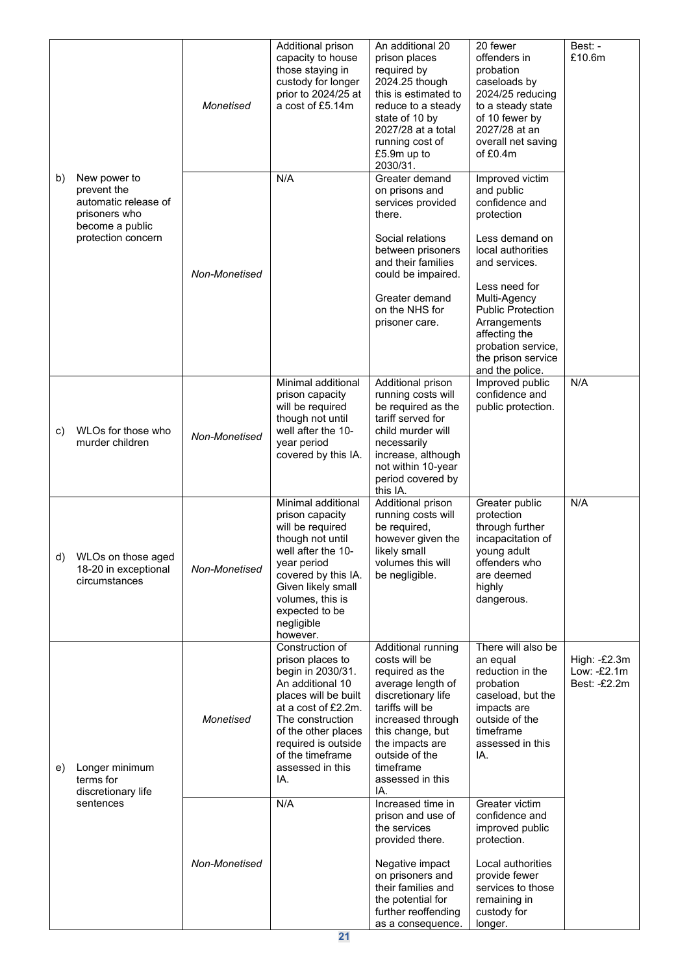|    |                                                                                                               | Monetised     | Additional prison<br>capacity to house<br>those staying in<br>custody for longer<br>prior to 2024/25 at<br>a cost of £5.14m                                                                                                                  | An additional 20<br>prison places<br>required by<br>2024.25 though<br>this is estimated to<br>reduce to a steady<br>state of 10 by<br>2027/28 at a total<br>running cost of<br>£5.9m up to<br>2030/31.                                     | 20 fewer<br>offenders in<br>probation<br>caseloads by<br>2024/25 reducing<br>to a steady state<br>of 10 fewer by<br>2027/28 at an<br>overall net saving<br>of $£0.4m$                                                                                                              | Best: -<br>£10.6m                           |
|----|---------------------------------------------------------------------------------------------------------------|---------------|----------------------------------------------------------------------------------------------------------------------------------------------------------------------------------------------------------------------------------------------|--------------------------------------------------------------------------------------------------------------------------------------------------------------------------------------------------------------------------------------------|------------------------------------------------------------------------------------------------------------------------------------------------------------------------------------------------------------------------------------------------------------------------------------|---------------------------------------------|
| b) | New power to<br>prevent the<br>automatic release of<br>prisoners who<br>become a public<br>protection concern | Non-Monetised | N/A                                                                                                                                                                                                                                          | Greater demand<br>on prisons and<br>services provided<br>there.<br>Social relations<br>between prisoners<br>and their families<br>could be impaired.<br>Greater demand<br>on the NHS for<br>prisoner care.                                 | Improved victim<br>and public<br>confidence and<br>protection<br>Less demand on<br>local authorities<br>and services.<br>Less need for<br>Multi-Agency<br><b>Public Protection</b><br>Arrangements<br>affecting the<br>probation service,<br>the prison service<br>and the police. |                                             |
| c) | WLOs for those who<br>murder children                                                                         | Non-Monetised | Minimal additional<br>prison capacity<br>will be required<br>though not until<br>well after the 10-<br>year period<br>covered by this IA.                                                                                                    | Additional prison<br>running costs will<br>be required as the<br>tariff served for<br>child murder will<br>necessarily<br>increase, although<br>not within 10-year<br>period covered by<br>this IA.                                        | Improved public<br>confidence and<br>public protection.                                                                                                                                                                                                                            | N/A                                         |
|    | d) WLOs on those aged<br>18-20 in exceptional<br>circumstances                                                | Non-Monetised | Minimal additional<br>prison capacity<br>will be required<br>though not until<br>well after the 10-<br>year period<br>covered by this IA.<br>Given likely small<br>volumes, this is<br>expected to be<br>negligible<br>however.              | Additional prison<br>running costs will<br>be required,<br>however given the<br>likely small<br>volumes this will<br>be negligible.                                                                                                        | Greater public<br>protection<br>through further<br>incapacitation of<br>young adult<br>offenders who<br>are deemed<br>highly<br>dangerous.                                                                                                                                         | N/A                                         |
| e) | Longer minimum<br>terms for<br>discretionary life                                                             | Monetised     | Construction of<br>prison places to<br>begin in 2030/31.<br>An additional 10<br>places will be built<br>at a cost of £2.2m.<br>The construction<br>of the other places<br>required is outside<br>of the timeframe<br>assessed in this<br>IA. | Additional running<br>costs will be<br>required as the<br>average length of<br>discretionary life<br>tariffs will be<br>increased through<br>this change, but<br>the impacts are<br>outside of the<br>timeframe<br>assessed in this<br>IA. | There will also be<br>an equal<br>reduction in the<br>probation<br>caseload, but the<br>impacts are<br>outside of the<br>timeframe<br>assessed in this<br>IA.                                                                                                                      | High: -£2.3m<br>Low: -£2.1m<br>Best: -£2.2m |
|    | sentences                                                                                                     | Non-Monetised | N/A                                                                                                                                                                                                                                          | Increased time in<br>prison and use of<br>the services<br>provided there.<br>Negative impact<br>on prisoners and<br>their families and<br>the potential for<br>further reoffending<br>as a consequence.                                    | Greater victim<br>confidence and<br>improved public<br>protection.<br>Local authorities<br>provide fewer<br>services to those<br>remaining in<br>custody for<br>longer.                                                                                                            |                                             |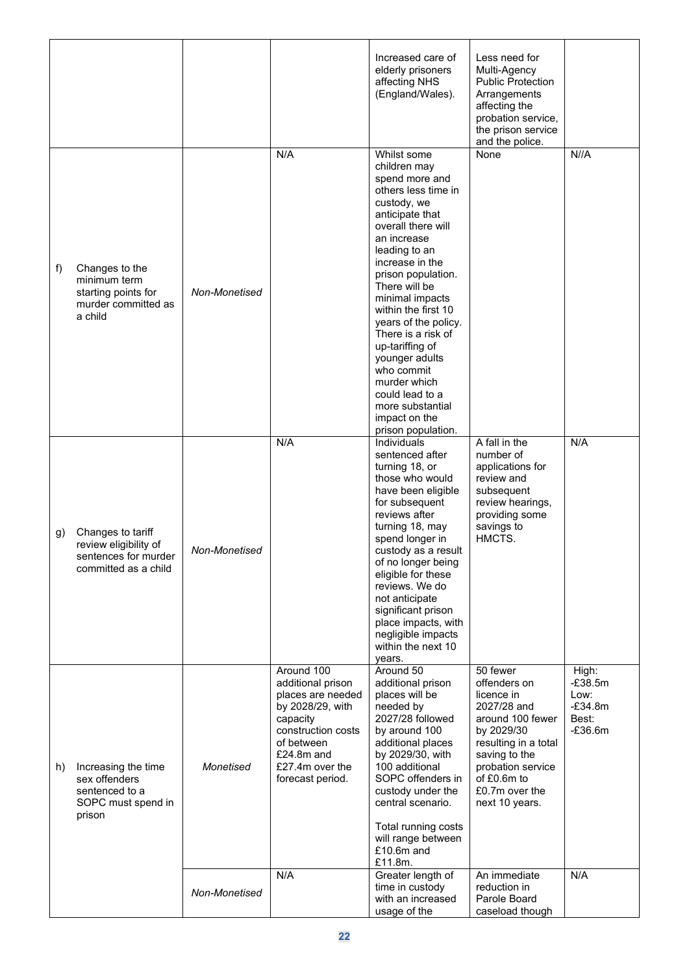|    |                                                                                            |               |                                                                                                                                                                               | Increased care of<br>elderly prisoners<br>affecting NHS<br>(England/Wales).                                                                                                                                                                                                                                                                                                                                                                                     | Less need for<br>Multi-Agency<br><b>Public Protection</b><br>Arrangements<br>affecting the<br>probation service,<br>the prison service<br>and the police.                                                |                                                               |
|----|--------------------------------------------------------------------------------------------|---------------|-------------------------------------------------------------------------------------------------------------------------------------------------------------------------------|-----------------------------------------------------------------------------------------------------------------------------------------------------------------------------------------------------------------------------------------------------------------------------------------------------------------------------------------------------------------------------------------------------------------------------------------------------------------|----------------------------------------------------------------------------------------------------------------------------------------------------------------------------------------------------------|---------------------------------------------------------------|
| f) | Changes to the<br>minimum term<br>starting points for<br>murder committed as<br>a child    | Non-Monetised | N/A                                                                                                                                                                           | Whilst some<br>children may<br>spend more and<br>others less time in<br>custody, we<br>anticipate that<br>overall there will<br>an increase<br>leading to an<br>increase in the<br>prison population.<br>There will be<br>minimal impacts<br>within the first 10<br>years of the policy.<br>There is a risk of<br>up-tariffing of<br>younger adults<br>who commit<br>murder which<br>could lead to a<br>more substantial<br>impact on the<br>prison population. | None                                                                                                                                                                                                     | N//A                                                          |
| g) | Changes to tariff<br>review eligibility of<br>sentences for murder<br>committed as a child | Non-Monetised | N/A                                                                                                                                                                           | Individuals<br>sentenced after<br>turning 18, or<br>those who would<br>have been eligible<br>for subsequent<br>reviews after<br>turning 18, may<br>spend longer in<br>custody as a result<br>of no longer being<br>eligible for these<br>reviews. We do<br>not anticipate<br>significant prison<br>place impacts, with<br>negligible impacts<br>within the next 10<br>years.                                                                                    | A fall in the<br>number of<br>applications for<br>review and<br>subsequent<br>review hearings,<br>providing some<br>savings to<br>HMCTS.                                                                 | N/A                                                           |
| h) | Increasing the time<br>sex offenders<br>sentenced to a<br>SOPC must spend in<br>prison     | Monetised     | Around 100<br>additional prison<br>places are needed<br>by 2028/29, with<br>capacity<br>construction costs<br>of between<br>£24.8m and<br>£27.4m over the<br>forecast period. | Around 50<br>additional prison<br>places will be<br>needed by<br>2027/28 followed<br>by around 100<br>additional places<br>by 2029/30, with<br>100 additional<br>SOPC offenders in<br>custody under the<br>central scenario.<br>Total running costs<br>will range between<br>$£10.6m$ and<br>£11.8m.                                                                                                                                                            | 50 fewer<br>offenders on<br>licence in<br>2027/28 and<br>around 100 fewer<br>by 2029/30<br>resulting in a total<br>saving to the<br>probation service<br>of £0.6m to<br>£0.7m over the<br>next 10 years. | High:<br>$-E38.5m$<br>Low:<br>$-E34.8m$<br>Best:<br>$-E36.6m$ |
|    |                                                                                            | Non-Monetised | N/A                                                                                                                                                                           | Greater length of<br>time in custody<br>with an increased<br>usage of the                                                                                                                                                                                                                                                                                                                                                                                       | An immediate<br>reduction in<br>Parole Board<br>caseload though                                                                                                                                          | N/A                                                           |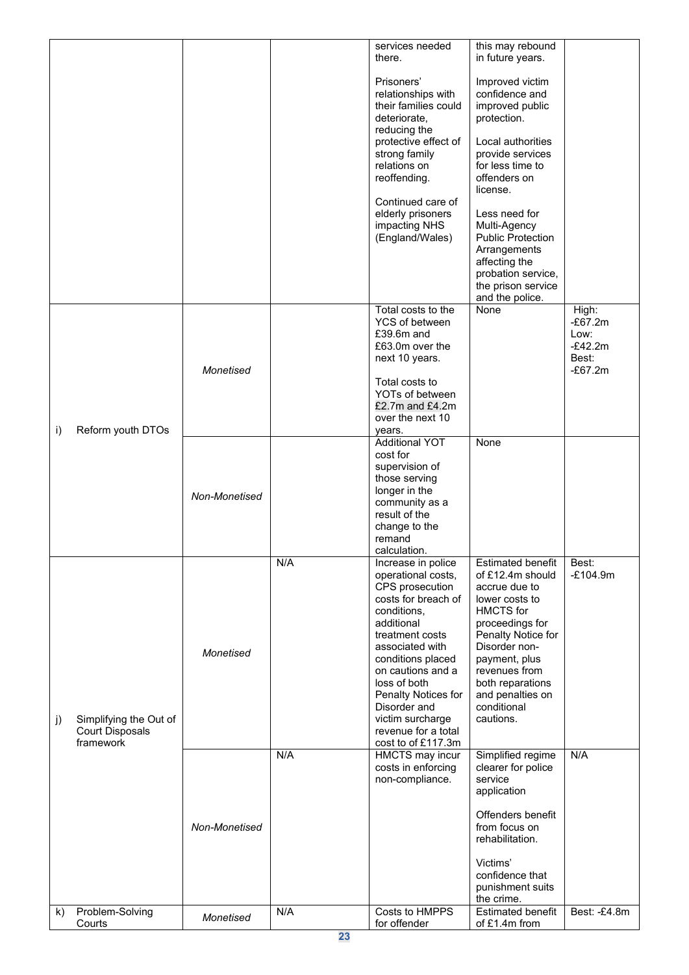|    |                                                               |               |     | services needed<br>there.                                                                                                                                                                                                                                                                                               | this may rebound<br>in future years.                                                                                                                                                                                                                                                                                      |                                                               |
|----|---------------------------------------------------------------|---------------|-----|-------------------------------------------------------------------------------------------------------------------------------------------------------------------------------------------------------------------------------------------------------------------------------------------------------------------------|---------------------------------------------------------------------------------------------------------------------------------------------------------------------------------------------------------------------------------------------------------------------------------------------------------------------------|---------------------------------------------------------------|
|    |                                                               |               |     | Prisoners'<br>relationships with<br>their families could<br>deteriorate,<br>reducing the<br>protective effect of<br>strong family<br>relations on<br>reoffending.<br>Continued care of<br>elderly prisoners<br>impacting NHS<br>(England/Wales)                                                                         | Improved victim<br>confidence and<br>improved public<br>protection.<br>Local authorities<br>provide services<br>for less time to<br>offenders on<br>license.<br>Less need for<br>Multi-Agency<br><b>Public Protection</b><br>Arrangements<br>affecting the<br>probation service,<br>the prison service<br>and the police. |                                                               |
| i) | Reform youth DTOs                                             | Monetised     |     | Total costs to the<br>YCS of between<br>£39.6m and<br>£63.0m over the<br>next 10 years.<br>Total costs to<br>YOTs of between<br>£2.7m and $£4.2m$<br>over the next 10<br>years.                                                                                                                                         | None                                                                                                                                                                                                                                                                                                                      | High:<br>$-E67.2m$<br>Low:<br>$-E42.2m$<br>Best:<br>$-£67.2m$ |
|    |                                                               | Non-Monetised |     | <b>Additional YOT</b><br>cost for<br>supervision of<br>those serving<br>longer in the<br>community as a<br>result of the<br>change to the<br>remand<br>calculation.                                                                                                                                                     | None                                                                                                                                                                                                                                                                                                                      |                                                               |
| j) | Simplifying the Out of<br><b>Court Disposals</b><br>framework | Monetised     | N/A | Increase in police<br>operational costs,<br>CPS prosecution<br>costs for breach of<br>conditions,<br>additional<br>treatment costs<br>associated with<br>conditions placed<br>on cautions and a<br>loss of both<br>Penalty Notices for<br>Disorder and<br>victim surcharge<br>revenue for a total<br>cost to of £117.3m | <b>Estimated benefit</b><br>of £12.4m should<br>accrue due to<br>lower costs to<br><b>HMCTS</b> for<br>proceedings for<br>Penalty Notice for<br>Disorder non-<br>payment, plus<br>revenues from<br>both reparations<br>and penalties on<br>conditional<br>cautions.                                                       | Best:<br>$-£104.9m$                                           |
|    |                                                               | Non-Monetised | N/A | <b>HMCTS</b> may incur<br>costs in enforcing<br>non-compliance.                                                                                                                                                                                                                                                         | Simplified regime<br>clearer for police<br>service<br>application<br>Offenders benefit<br>from focus on<br>rehabilitation.<br>Victims'                                                                                                                                                                                    | N/A                                                           |
| k) | Problem-Solving                                               | Monetised     | N/A | Costs to HMPPS                                                                                                                                                                                                                                                                                                          | confidence that<br>punishment suits<br>the crime.<br><b>Estimated benefit</b>                                                                                                                                                                                                                                             | Best: -£4.8m                                                  |
|    | Courts                                                        |               |     | for offender                                                                                                                                                                                                                                                                                                            | of £1.4m from                                                                                                                                                                                                                                                                                                             |                                                               |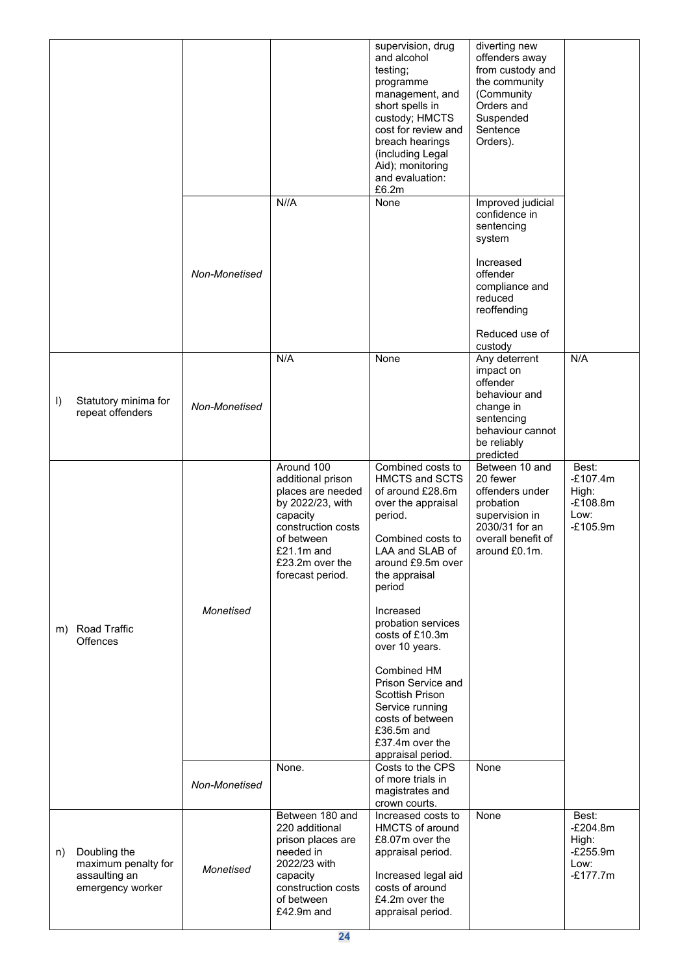|         |                                                                          |               |                                                                                                                                                                                 | supervision, drug<br>and alcohol<br>testing;<br>programme<br>management, and<br>short spells in<br>custody; HMCTS<br>cost for review and<br>breach hearings<br>(including Legal<br>Aid); monitoring<br>and evaluation:<br>£6.2m | diverting new<br>offenders away<br>from custody and<br>the community<br>(Community<br>Orders and<br>Suspended<br>Sentence<br>Orders).                        |                                                                  |
|---------|--------------------------------------------------------------------------|---------------|---------------------------------------------------------------------------------------------------------------------------------------------------------------------------------|---------------------------------------------------------------------------------------------------------------------------------------------------------------------------------------------------------------------------------|--------------------------------------------------------------------------------------------------------------------------------------------------------------|------------------------------------------------------------------|
|         |                                                                          | Non-Monetised | N//A                                                                                                                                                                            | None                                                                                                                                                                                                                            | Improved judicial<br>confidence in<br>sentencing<br>system<br>Increased<br>offender<br>compliance and<br>reduced<br>reoffending<br>Reduced use of<br>custody |                                                                  |
| $\vert$ | Statutory minima for<br>repeat offenders                                 | Non-Monetised | N/A                                                                                                                                                                             | None                                                                                                                                                                                                                            | Any deterrent<br>impact on<br>offender<br>behaviour and<br>change in<br>sentencing<br>behaviour cannot<br>be reliably<br>predicted                           | N/A                                                              |
|         |                                                                          | Monetised     | Around 100<br>additional prison<br>places are needed<br>by 2022/23, with<br>capacity<br>construction costs<br>of between<br>$£21.1m$ and<br>£23.2m over the<br>forecast period. | Combined costs to<br><b>HMCTS and SCTS</b><br>of around £28.6m<br>over the appraisal<br>period.<br>Combined costs to<br>LAA and SLAB of<br>around £9.5m over<br>the appraisal<br>period<br>Increased<br>probation services      | Between 10 and<br>20 fewer<br>offenders under<br>probation<br>supervision in<br>2030/31 for an<br>overall benefit of<br>around £0.1m.                        | Best:<br>$-£107.4m$<br>High:<br>$-£108.8m$<br>Low:<br>$-£105.9m$ |
|         | m) Road Traffic<br><b>Offences</b>                                       |               | None.                                                                                                                                                                           | costs of £10.3m<br>over 10 years.<br>Combined HM<br>Prison Service and<br>Scottish Prison<br>Service running<br>costs of between<br>£36.5m and<br>£37.4m over the<br>appraisal period.<br>Costs to the CPS                      | <b>None</b>                                                                                                                                                  |                                                                  |
|         |                                                                          | Non-Monetised |                                                                                                                                                                                 | of more trials in<br>magistrates and<br>crown courts.                                                                                                                                                                           |                                                                                                                                                              |                                                                  |
| n)      | Doubling the<br>maximum penalty for<br>assaulting an<br>emergency worker | Monetised     | Between 180 and<br>220 additional<br>prison places are<br>needed in<br>2022/23 with<br>capacity<br>construction costs<br>of between<br>£42.9m and                               | Increased costs to<br><b>HMCTS</b> of around<br>£8.07m over the<br>appraisal period.<br>Increased legal aid<br>costs of around<br>£4.2m over the<br>appraisal period.                                                           | None                                                                                                                                                         | Best:<br>$-E204.8m$<br>High:<br>$-E255.9m$<br>Low:<br>$-£177.7m$ |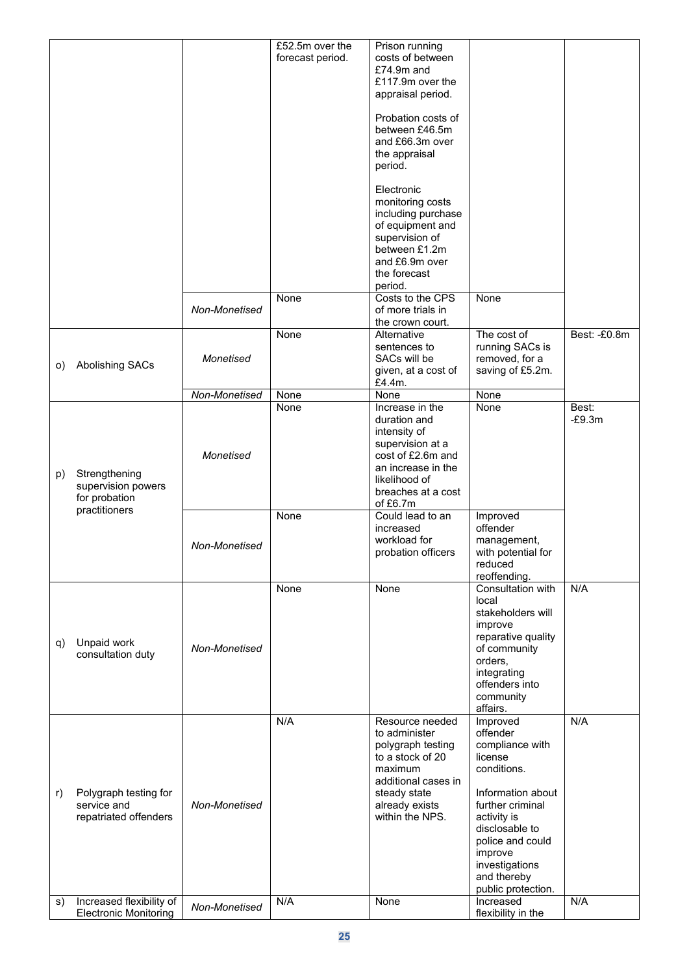|    |                                      |               | £52.5m over the  | Prison running<br>costs of between    |                               |              |
|----|--------------------------------------|---------------|------------------|---------------------------------------|-------------------------------|--------------|
|    |                                      |               | forecast period. |                                       |                               |              |
|    |                                      |               |                  | £74.9m and                            |                               |              |
|    |                                      |               |                  | £117.9m over the                      |                               |              |
|    |                                      |               |                  | appraisal period.                     |                               |              |
|    |                                      |               |                  |                                       |                               |              |
|    |                                      |               |                  | Probation costs of                    |                               |              |
|    |                                      |               |                  | between £46.5m                        |                               |              |
|    |                                      |               |                  | and £66.3m over                       |                               |              |
|    |                                      |               |                  | the appraisal                         |                               |              |
|    |                                      |               |                  | period.                               |                               |              |
|    |                                      |               |                  |                                       |                               |              |
|    |                                      |               |                  | Electronic                            |                               |              |
|    |                                      |               |                  | monitoring costs                      |                               |              |
|    |                                      |               |                  | including purchase                    |                               |              |
|    |                                      |               |                  | of equipment and                      |                               |              |
|    |                                      |               |                  | supervision of                        |                               |              |
|    |                                      |               |                  | between £1.2m                         |                               |              |
|    |                                      |               |                  | and £6.9m over                        |                               |              |
|    |                                      |               |                  | the forecast                          |                               |              |
|    |                                      |               |                  | period.                               |                               |              |
|    |                                      |               | None             | Costs to the CPS                      | None                          |              |
|    |                                      | Non-Monetised |                  | of more trials in                     |                               |              |
|    |                                      |               |                  | the crown court.                      |                               |              |
|    |                                      |               | None             | Alternative                           | The cost of                   | Best: -£0.8m |
|    |                                      |               |                  | sentences to                          | running SACs is               |              |
|    |                                      | Monetised     |                  | SACs will be                          | removed, for a                |              |
| O) | Abolishing SACs                      |               |                  | given, at a cost of                   | saving of £5.2m.              |              |
|    |                                      |               |                  | £4.4m.                                |                               |              |
|    |                                      | Non-Monetised | None             | None                                  | None                          |              |
|    |                                      |               | None             | Increase in the                       | None                          | Best:        |
|    |                                      |               |                  | duration and                          |                               | $-E9.3m$     |
|    |                                      |               |                  | intensity of                          |                               |              |
|    |                                      |               |                  | supervision at a                      |                               |              |
|    |                                      | Monetised     |                  | cost of £2.6m and                     |                               |              |
|    |                                      |               |                  | an increase in the                    |                               |              |
| p) | Strengthening                        |               |                  | likelihood of                         |                               |              |
|    | supervision powers                   |               |                  | breaches at a cost                    |                               |              |
|    | for probation                        |               |                  | of £6.7m                              |                               |              |
|    | practitioners                        |               | None             | Could lead to an                      | Improved                      |              |
|    |                                      |               |                  | increased                             | offender                      |              |
|    |                                      |               |                  | workload for                          | management,                   |              |
|    |                                      | Non-Monetised |                  | probation officers                    | with potential for            |              |
|    |                                      |               |                  |                                       | reduced                       |              |
|    |                                      |               |                  |                                       | reoffending.                  |              |
|    |                                      |               | None             | None                                  | Consultation with             | N/A          |
|    |                                      |               |                  |                                       | local                         |              |
|    |                                      |               |                  |                                       | stakeholders will             |              |
|    |                                      |               |                  |                                       | improve                       |              |
|    |                                      |               |                  |                                       | reparative quality            |              |
| q) | Unpaid work                          | Non-Monetised |                  |                                       | of community                  |              |
|    | consultation duty                    |               |                  |                                       | orders,                       |              |
|    |                                      |               |                  |                                       | integrating                   |              |
|    |                                      |               |                  |                                       | offenders into                |              |
|    |                                      |               |                  |                                       | community                     |              |
|    |                                      |               |                  |                                       | affairs.                      |              |
|    |                                      |               | N/A              | Resource needed                       | Improved                      | N/A          |
|    |                                      |               |                  | to administer                         | offender                      |              |
|    |                                      |               |                  |                                       | compliance with               |              |
|    |                                      |               |                  | polygraph testing<br>to a stock of 20 | license                       |              |
|    |                                      |               |                  | maximum                               | conditions.                   |              |
|    |                                      |               |                  |                                       |                               |              |
|    |                                      |               |                  | additional cases in                   | Information about             |              |
| r) | Polygraph testing for<br>service and | Non-Monetised |                  | steady state                          | further criminal              |              |
|    |                                      |               |                  | already exists<br>within the NPS.     |                               |              |
|    | repatriated offenders                |               |                  |                                       | activity is                   |              |
|    |                                      |               |                  |                                       | disclosable to                |              |
|    |                                      |               |                  |                                       | police and could              |              |
|    |                                      |               |                  |                                       | improve                       |              |
|    |                                      |               |                  |                                       | investigations<br>and thereby |              |
|    |                                      |               |                  |                                       | public protection.            |              |
| S) | Increased flexibility of             |               | N/A              | None                                  | Increased                     | N/A          |
|    | <b>Electronic Monitoring</b>         | Non-Monetised |                  |                                       | flexibility in the            |              |
|    |                                      |               |                  |                                       |                               |              |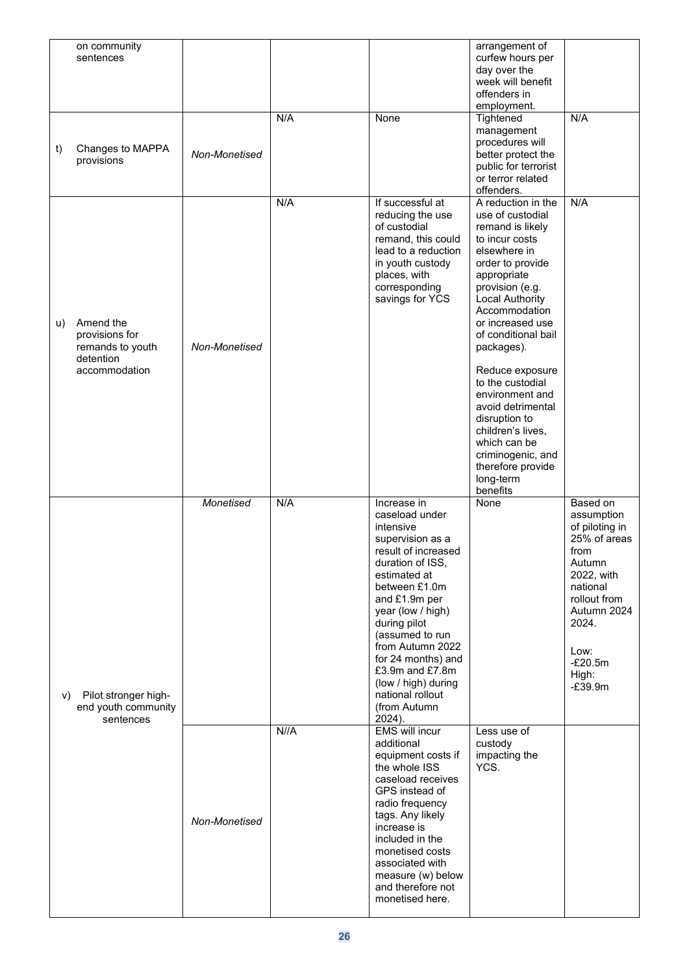|    | on community<br>sentences                                                     |               |      |                                                                                                                                                                                                                                                                                                                                                             | arrangement of<br>curfew hours per                                                                                                                                                                                                                                                                                                                                                                                                                                           |                                                                                                                                                                                         |
|----|-------------------------------------------------------------------------------|---------------|------|-------------------------------------------------------------------------------------------------------------------------------------------------------------------------------------------------------------------------------------------------------------------------------------------------------------------------------------------------------------|------------------------------------------------------------------------------------------------------------------------------------------------------------------------------------------------------------------------------------------------------------------------------------------------------------------------------------------------------------------------------------------------------------------------------------------------------------------------------|-----------------------------------------------------------------------------------------------------------------------------------------------------------------------------------------|
|    |                                                                               |               |      |                                                                                                                                                                                                                                                                                                                                                             | day over the<br>week will benefit                                                                                                                                                                                                                                                                                                                                                                                                                                            |                                                                                                                                                                                         |
|    |                                                                               |               |      |                                                                                                                                                                                                                                                                                                                                                             | offenders in<br>employment.                                                                                                                                                                                                                                                                                                                                                                                                                                                  |                                                                                                                                                                                         |
| t) | Changes to MAPPA<br>provisions                                                | Non-Monetised | N/A  | None                                                                                                                                                                                                                                                                                                                                                        | Tightened<br>management<br>procedures will<br>better protect the<br>public for terrorist<br>or terror related                                                                                                                                                                                                                                                                                                                                                                | N/A                                                                                                                                                                                     |
| u) | Amend the<br>provisions for<br>remands to youth<br>detention<br>accommodation | Non-Monetised | N/A  | If successful at<br>reducing the use<br>of custodial<br>remand, this could<br>lead to a reduction<br>in youth custody<br>places, with<br>corresponding<br>savings for YCS                                                                                                                                                                                   | offenders.<br>A reduction in the<br>use of custodial<br>remand is likely<br>to incur costs<br>elsewhere in<br>order to provide<br>appropriate<br>provision (e.g.<br><b>Local Authority</b><br>Accommodation<br>or increased use<br>of conditional bail<br>packages).<br>Reduce exposure<br>to the custodial<br>environment and<br>avoid detrimental<br>disruption to<br>children's lives,<br>which can be<br>criminogenic, and<br>therefore provide<br>long-term<br>benefits | N/A                                                                                                                                                                                     |
| V) | Pilot stronger high-<br>end youth community<br>sentences                      | Monetised     | N/A  | Increase in<br>caseload under<br>intensive<br>supervision as a<br>result of increased<br>duration of ISS,<br>estimated at<br>between £1.0m<br>and £1.9m per<br>year (low / high)<br>during pilot<br>(assumed to run<br>from Autumn 2022<br>for 24 months) and<br>£3.9 $m$ and £7.8 $m$<br>(low / high) during<br>national rollout<br>(from Autumn<br>2024). | None                                                                                                                                                                                                                                                                                                                                                                                                                                                                         | Based on<br>assumption<br>of piloting in<br>25% of areas<br>from<br>Autumn<br>2022, with<br>national<br>rollout from<br>Autumn 2024<br>2024.<br>Low:<br>$-E20.5m$<br>High:<br>$-E39.9m$ |
|    |                                                                               | Non-Monetised | N//A | <b>EMS</b> will incur<br>additional<br>equipment costs if<br>the whole ISS<br>caseload receives<br>GPS instead of<br>radio frequency<br>tags. Any likely<br>increase is<br>included in the<br>monetised costs<br>associated with<br>measure (w) below<br>and therefore not<br>monetised here.                                                               | Less use of<br>custody<br>impacting the<br>YCS.                                                                                                                                                                                                                                                                                                                                                                                                                              |                                                                                                                                                                                         |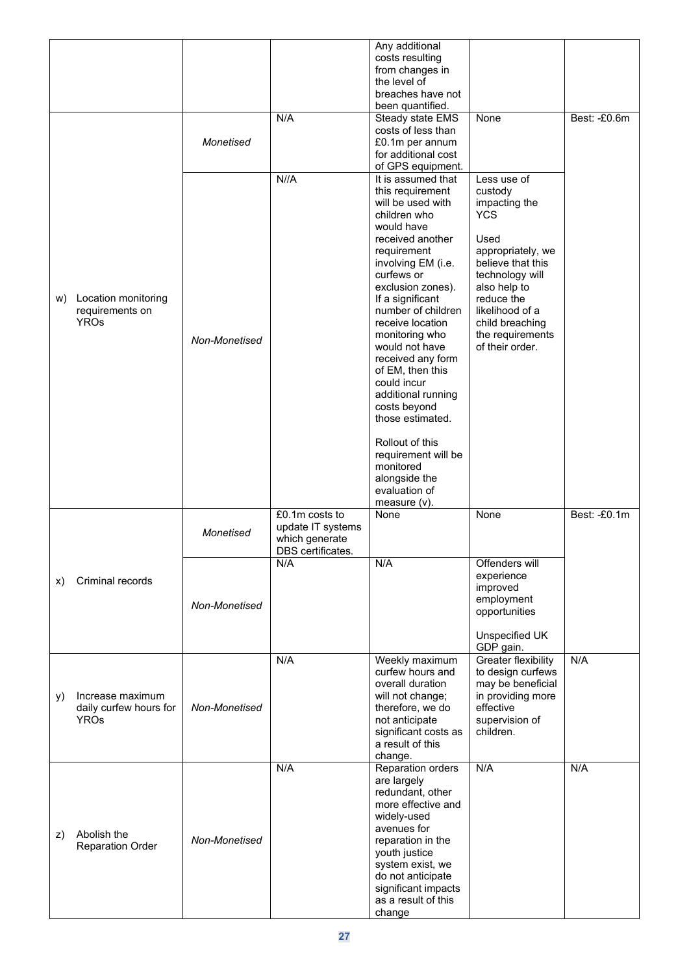|    |                                                           |               |                                                                            | Any additional<br>costs resulting<br>from changes in<br>the level of<br>breaches have not<br>been quantified.                                                                                                                                                                                                                                                                                                                                                                                                      |                                                                                                                                                                                                                                       |              |
|----|-----------------------------------------------------------|---------------|----------------------------------------------------------------------------|--------------------------------------------------------------------------------------------------------------------------------------------------------------------------------------------------------------------------------------------------------------------------------------------------------------------------------------------------------------------------------------------------------------------------------------------------------------------------------------------------------------------|---------------------------------------------------------------------------------------------------------------------------------------------------------------------------------------------------------------------------------------|--------------|
|    |                                                           | Monetised     | N/A                                                                        | Steady state EMS<br>costs of less than<br>£0.1m per annum<br>for additional cost<br>of GPS equipment.                                                                                                                                                                                                                                                                                                                                                                                                              | None                                                                                                                                                                                                                                  | Best: -£0.6m |
|    | w) Location monitoring<br>requirements on<br><b>YROs</b>  | Non-Monetised | N//A                                                                       | It is assumed that<br>this requirement<br>will be used with<br>children who<br>would have<br>received another<br>requirement<br>involving EM (i.e.<br>curfews or<br>exclusion zones).<br>If a significant<br>number of children<br>receive location<br>monitoring who<br>would not have<br>received any form<br>of EM, then this<br>could incur<br>additional running<br>costs beyond<br>those estimated.<br>Rollout of this<br>requirement will be<br>monitored<br>alongside the<br>evaluation of<br>measure (v). | Less use of<br>custody<br>impacting the<br><b>YCS</b><br>Used<br>appropriately, we<br>believe that this<br>technology will<br>also help to<br>reduce the<br>likelihood of a<br>child breaching<br>the requirements<br>of their order. |              |
|    |                                                           | Monetised     | £0.1m costs to<br>update IT systems<br>which generate<br>DBS certificates. | None                                                                                                                                                                                                                                                                                                                                                                                                                                                                                                               | None                                                                                                                                                                                                                                  | Best: -£0.1m |
| X) | Criminal records                                          | Non-Monetised | N/A                                                                        | N/A                                                                                                                                                                                                                                                                                                                                                                                                                                                                                                                | Offenders will<br>experience<br>improved<br>employment<br>opportunities<br>Unspecified UK                                                                                                                                             |              |
|    |                                                           |               | N/A                                                                        | Weekly maximum                                                                                                                                                                                                                                                                                                                                                                                                                                                                                                     | GDP gain.                                                                                                                                                                                                                             | N/A          |
| y) | Increase maximum<br>daily curfew hours for<br><b>YROs</b> | Non-Monetised |                                                                            | curfew hours and<br>overall duration<br>will not change;<br>therefore, we do<br>not anticipate<br>significant costs as<br>a result of this<br>change.                                                                                                                                                                                                                                                                                                                                                              | Greater flexibility<br>to design curfews<br>may be beneficial<br>in providing more<br>effective<br>supervision of<br>children.                                                                                                        |              |
| z) | Abolish the<br><b>Reparation Order</b>                    | Non-Monetised | N/A                                                                        | Reparation orders<br>are largely<br>redundant, other<br>more effective and<br>widely-used<br>avenues for<br>reparation in the<br>youth justice<br>system exist, we<br>do not anticipate<br>significant impacts<br>as a result of this<br>change                                                                                                                                                                                                                                                                    | N/A                                                                                                                                                                                                                                   | N/A          |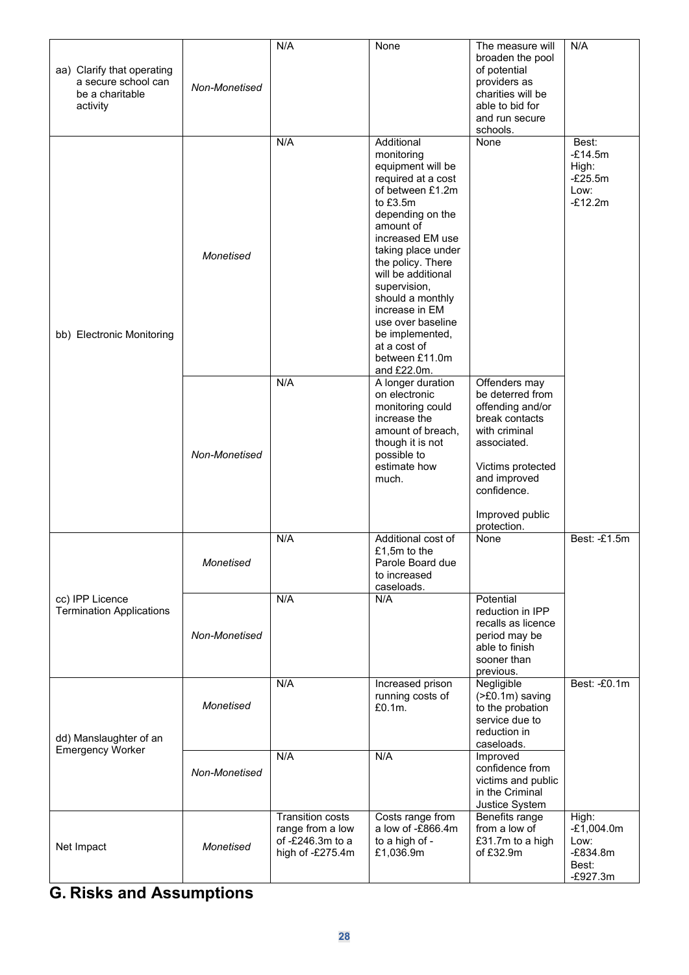| aa) Clarify that operating<br>a secure school can<br>be a charitable<br>activity | Non-Monetised | N/A                                                                                 | None                                                                                                                                                                                                                                                                                                                                                                     | The measure will<br>broaden the pool<br>of potential<br>providers as<br>charities will be<br>able to bid for<br>and run secure<br>schools.                                                    | N/A                                                                |
|----------------------------------------------------------------------------------|---------------|-------------------------------------------------------------------------------------|--------------------------------------------------------------------------------------------------------------------------------------------------------------------------------------------------------------------------------------------------------------------------------------------------------------------------------------------------------------------------|-----------------------------------------------------------------------------------------------------------------------------------------------------------------------------------------------|--------------------------------------------------------------------|
| bb) Electronic Monitoring                                                        | Monetised     | N/A                                                                                 | Additional<br>monitoring<br>equipment will be<br>required at a cost<br>of between £1.2m<br>to £3.5m<br>depending on the<br>amount of<br>increased EM use<br>taking place under<br>the policy. There<br>will be additional<br>supervision,<br>should a monthly<br>increase in EM<br>use over baseline<br>be implemented,<br>at a cost of<br>between £11.0m<br>and £22.0m. | None                                                                                                                                                                                          | Best:<br>$-E14.5m$<br>High:<br>$-E25.5m$<br>Low:<br>$-E12.2m$      |
|                                                                                  | Non-Monetised | N/A                                                                                 | A longer duration<br>on electronic<br>monitoring could<br>increase the<br>amount of breach,<br>though it is not<br>possible to<br>estimate how<br>much.                                                                                                                                                                                                                  | Offenders may<br>be deterred from<br>offending and/or<br>break contacts<br>with criminal<br>associated.<br>Victims protected<br>and improved<br>confidence.<br>Improved public<br>protection. |                                                                    |
|                                                                                  | Monetised     | N/A                                                                                 | Additional cost of<br>£1,5m to the<br>Parole Board due<br>to increased<br>caseloads.                                                                                                                                                                                                                                                                                     | None                                                                                                                                                                                          | Best: -£1.5m                                                       |
| cc) IPP Licence<br><b>Termination Applications</b>                               | Non-Monetised | N/A                                                                                 | N/A                                                                                                                                                                                                                                                                                                                                                                      | Potential<br>reduction in IPP<br>recalls as licence<br>period may be<br>able to finish<br>sooner than<br>previous.                                                                            |                                                                    |
| dd) Manslaughter of an<br><b>Emergency Worker</b>                                | Monetised     | N/A                                                                                 | Increased prison<br>running costs of<br>£0.1m.                                                                                                                                                                                                                                                                                                                           | Negligible<br>(>£0.1m) saving<br>to the probation<br>service due to<br>reduction in<br>caseloads.                                                                                             | Best: -£0.1m                                                       |
|                                                                                  | Non-Monetised | N/A                                                                                 | N/A                                                                                                                                                                                                                                                                                                                                                                      | Improved<br>confidence from<br>victims and public<br>in the Criminal<br>Justice System                                                                                                        |                                                                    |
| Net Impact                                                                       | Monetised     | <b>Transition costs</b><br>range from a low<br>of -£246.3m to a<br>high of -£275.4m | Costs range from<br>a low of -£866.4m<br>to a high of -<br>£1,036.9m                                                                                                                                                                                                                                                                                                     | Benefits range<br>from a low of<br>£31.7m to a high<br>of £32.9m                                                                                                                              | High:<br>$-£1,004.0m$<br>Low:<br>$-E834.8m$<br>Best:<br>$-E927.3m$ |

## **G. Risks and Assumptions**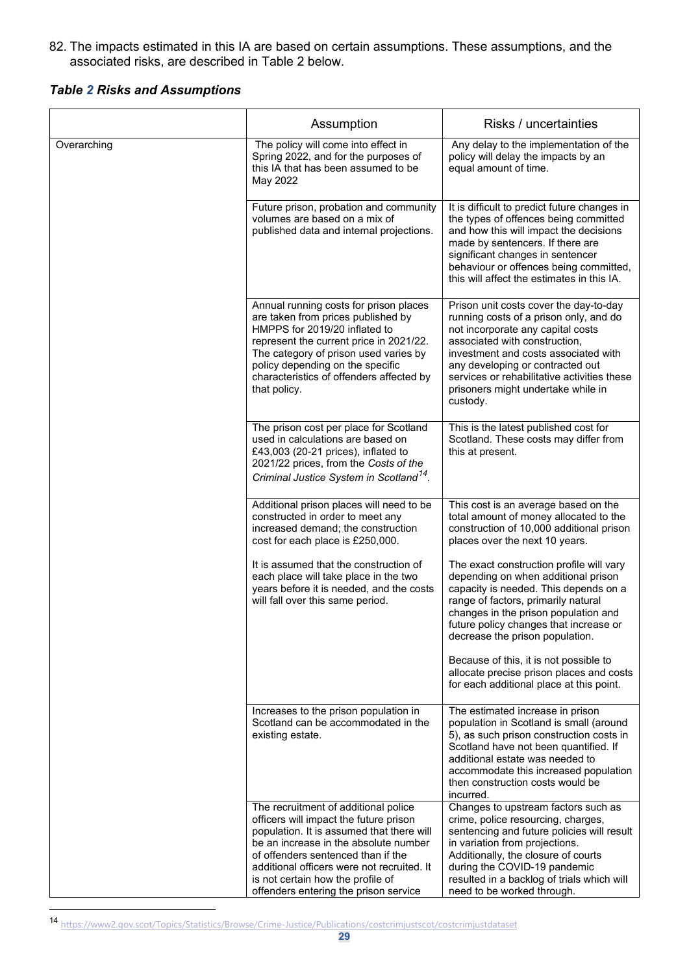82. The impacts estimated in this IA are based on certain assumptions. These assumptions, and the associated risks, are described in Table 2 below.

#### *Table 2 Risks and Assumptions*

|             | Assumption                                                                                                                                                                                                                                                                                                                             | Risks / uncertainties                                                                                                                                                                                                                                                                                                               |
|-------------|----------------------------------------------------------------------------------------------------------------------------------------------------------------------------------------------------------------------------------------------------------------------------------------------------------------------------------------|-------------------------------------------------------------------------------------------------------------------------------------------------------------------------------------------------------------------------------------------------------------------------------------------------------------------------------------|
| Overarching | The policy will come into effect in<br>Spring 2022, and for the purposes of<br>this IA that has been assumed to be<br>May 2022                                                                                                                                                                                                         | Any delay to the implementation of the<br>policy will delay the impacts by an<br>equal amount of time.                                                                                                                                                                                                                              |
|             | Future prison, probation and community<br>volumes are based on a mix of<br>published data and internal projections.                                                                                                                                                                                                                    | It is difficult to predict future changes in<br>the types of offences being committed<br>and how this will impact the decisions<br>made by sentencers. If there are<br>significant changes in sentencer<br>behaviour or offences being committed,<br>this will affect the estimates in this IA.                                     |
|             | Annual running costs for prison places<br>are taken from prices published by<br>HMPPS for 2019/20 inflated to<br>represent the current price in 2021/22.<br>The category of prison used varies by<br>policy depending on the specific<br>characteristics of offenders affected by<br>that policy.                                      | Prison unit costs cover the day-to-day<br>running costs of a prison only, and do<br>not incorporate any capital costs<br>associated with construction,<br>investment and costs associated with<br>any developing or contracted out<br>services or rehabilitative activities these<br>prisoners might undertake while in<br>custody. |
|             | The prison cost per place for Scotland<br>used in calculations are based on<br>£43,003 (20-21 prices), inflated to<br>2021/22 prices, from the Costs of the<br>Criminal Justice System in Scotland <sup>14</sup> .                                                                                                                     | This is the latest published cost for<br>Scotland. These costs may differ from<br>this at present.                                                                                                                                                                                                                                  |
|             | Additional prison places will need to be<br>constructed in order to meet any<br>increased demand; the construction<br>cost for each place is £250,000.                                                                                                                                                                                 | This cost is an average based on the<br>total amount of money allocated to the<br>construction of 10,000 additional prison<br>places over the next 10 years.                                                                                                                                                                        |
|             | It is assumed that the construction of<br>each place will take place in the two<br>years before it is needed, and the costs<br>will fall over this same period.                                                                                                                                                                        | The exact construction profile will vary<br>depending on when additional prison<br>capacity is needed. This depends on a<br>range of factors, primarily natural<br>changes in the prison population and<br>future policy changes that increase or<br>decrease the prison population.                                                |
|             |                                                                                                                                                                                                                                                                                                                                        | Because of this, it is not possible to<br>allocate precise prison places and costs<br>for each additional place at this point.                                                                                                                                                                                                      |
|             | Increases to the prison population in<br>Scotland can be accommodated in the<br>existing estate.                                                                                                                                                                                                                                       | The estimated increase in prison<br>population in Scotland is small (around<br>5), as such prison construction costs in<br>Scotland have not been quantified. If<br>additional estate was needed to<br>accommodate this increased population<br>then construction costs would be<br>incurred.                                       |
|             | The recruitment of additional police<br>officers will impact the future prison<br>population. It is assumed that there will<br>be an increase in the absolute number<br>of offenders sentenced than if the<br>additional officers were not recruited. It<br>is not certain how the profile of<br>offenders entering the prison service | Changes to upstream factors such as<br>crime, police resourcing, charges,<br>sentencing and future policies will result<br>in variation from projections.<br>Additionally, the closure of courts<br>during the COVID-19 pandemic<br>resulted in a backlog of trials which will<br>need to be worked through.                        |

<span id="page-28-0"></span><sup>14</sup> <https://www2.gov.scot/Topics/Statistics/Browse/Crime-Justice/Publications/costcrimjustscot/costcrimjustdataset>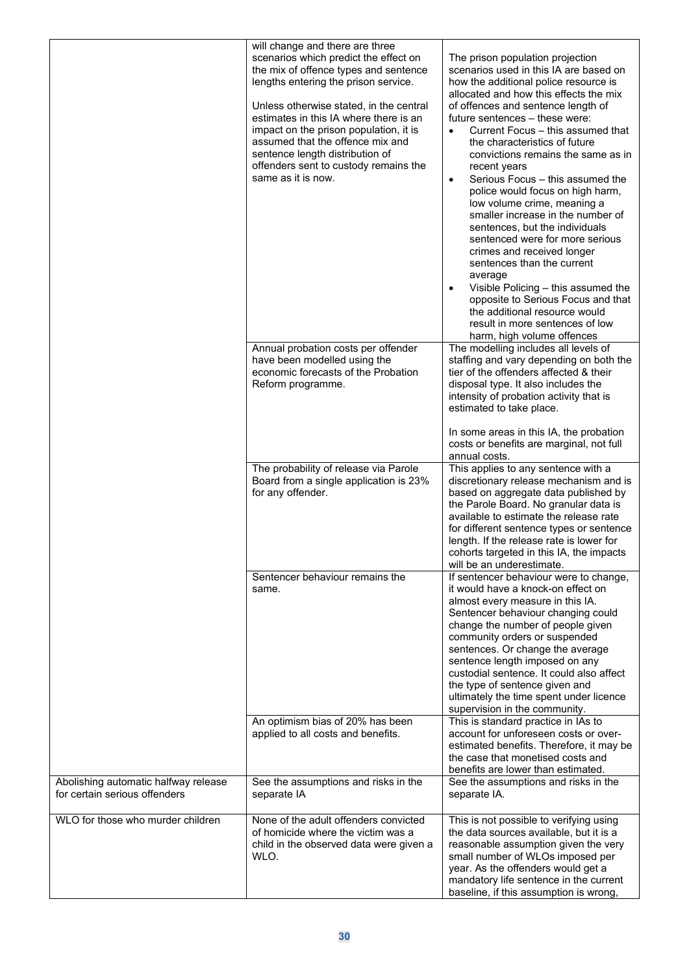|                                                                       | will change and there are three<br>scenarios which predict the effect on<br>the mix of offence types and sentence<br>lengths entering the prison service.<br>Unless otherwise stated, in the central<br>estimates in this IA where there is an<br>impact on the prison population, it is<br>assumed that the offence mix and<br>sentence length distribution of<br>offenders sent to custody remains the<br>same as it is now. | The prison population projection<br>scenarios used in this IA are based on<br>how the additional police resource is<br>allocated and how this effects the mix<br>of offences and sentence length of<br>future sentences - these were:<br>Current Focus - this assumed that<br>$\bullet$<br>the characteristics of future<br>convictions remains the same as in<br>recent years<br>Serious Focus - this assumed the<br>$\bullet$<br>police would focus on high harm,<br>low volume crime, meaning a<br>smaller increase in the number of<br>sentences, but the individuals<br>sentenced were for more serious<br>crimes and received longer<br>sentences than the current<br>average<br>Visible Policing - this assumed the<br>opposite to Serious Focus and that<br>the additional resource would<br>result in more sentences of low<br>harm, high volume offences |
|-----------------------------------------------------------------------|--------------------------------------------------------------------------------------------------------------------------------------------------------------------------------------------------------------------------------------------------------------------------------------------------------------------------------------------------------------------------------------------------------------------------------|--------------------------------------------------------------------------------------------------------------------------------------------------------------------------------------------------------------------------------------------------------------------------------------------------------------------------------------------------------------------------------------------------------------------------------------------------------------------------------------------------------------------------------------------------------------------------------------------------------------------------------------------------------------------------------------------------------------------------------------------------------------------------------------------------------------------------------------------------------------------|
|                                                                       | Annual probation costs per offender<br>have been modelled using the<br>economic forecasts of the Probation<br>Reform programme.                                                                                                                                                                                                                                                                                                | The modelling includes all levels of<br>staffing and vary depending on both the<br>tier of the offenders affected & their<br>disposal type. It also includes the<br>intensity of probation activity that is<br>estimated to take place.<br>In some areas in this IA, the probation<br>costs or benefits are marginal, not full<br>annual costs.                                                                                                                                                                                                                                                                                                                                                                                                                                                                                                                    |
|                                                                       | The probability of release via Parole<br>Board from a single application is 23%<br>for any offender.                                                                                                                                                                                                                                                                                                                           | This applies to any sentence with a<br>discretionary release mechanism and is<br>based on aggregate data published by<br>the Parole Board. No granular data is<br>available to estimate the release rate<br>for different sentence types or sentence<br>length. If the release rate is lower for<br>cohorts targeted in this IA, the impacts<br>will be an underestimate.                                                                                                                                                                                                                                                                                                                                                                                                                                                                                          |
|                                                                       | Sentencer behaviour remains the<br>same.                                                                                                                                                                                                                                                                                                                                                                                       | If sentencer behaviour were to change,<br>it would have a knock-on effect on<br>almost every measure in this IA.<br>Sentencer behaviour changing could<br>change the number of people given<br>community orders or suspended<br>sentences. Or change the average<br>sentence length imposed on any<br>custodial sentence. It could also affect<br>the type of sentence given and<br>ultimately the time spent under licence<br>supervision in the community.                                                                                                                                                                                                                                                                                                                                                                                                       |
|                                                                       | An optimism bias of 20% has been<br>applied to all costs and benefits.                                                                                                                                                                                                                                                                                                                                                         | This is standard practice in IAs to<br>account for unforeseen costs or over-<br>estimated benefits. Therefore, it may be<br>the case that monetised costs and<br>benefits are lower than estimated.                                                                                                                                                                                                                                                                                                                                                                                                                                                                                                                                                                                                                                                                |
| Abolishing automatic halfway release<br>for certain serious offenders | See the assumptions and risks in the<br>separate IA                                                                                                                                                                                                                                                                                                                                                                            | See the assumptions and risks in the<br>separate IA.                                                                                                                                                                                                                                                                                                                                                                                                                                                                                                                                                                                                                                                                                                                                                                                                               |
| WLO for those who murder children                                     | None of the adult offenders convicted<br>of homicide where the victim was a<br>child in the observed data were given a<br>WLO.                                                                                                                                                                                                                                                                                                 | This is not possible to verifying using<br>the data sources available, but it is a<br>reasonable assumption given the very<br>small number of WLOs imposed per<br>year. As the offenders would get a<br>mandatory life sentence in the current<br>baseline, if this assumption is wrong,                                                                                                                                                                                                                                                                                                                                                                                                                                                                                                                                                                           |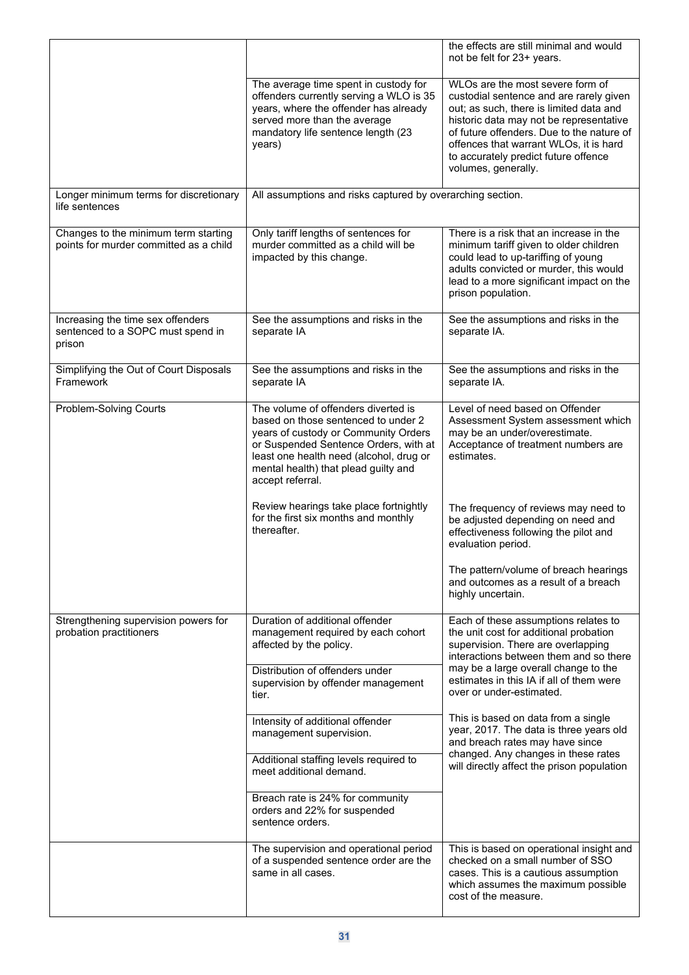|                                                                                  |                                                                                                                                                                                                                                                                    | the effects are still minimal and would<br>not be felt for 23+ years.                                                                                                                                                                                                                                                   |
|----------------------------------------------------------------------------------|--------------------------------------------------------------------------------------------------------------------------------------------------------------------------------------------------------------------------------------------------------------------|-------------------------------------------------------------------------------------------------------------------------------------------------------------------------------------------------------------------------------------------------------------------------------------------------------------------------|
|                                                                                  | The average time spent in custody for<br>offenders currently serving a WLO is 35<br>years, where the offender has already<br>served more than the average<br>mandatory life sentence length (23<br>years)                                                          | WLOs are the most severe form of<br>custodial sentence and are rarely given<br>out; as such, there is limited data and<br>historic data may not be representative<br>of future offenders. Due to the nature of<br>offences that warrant WLOs, it is hard<br>to accurately predict future offence<br>volumes, generally. |
| Longer minimum terms for discretionary<br>life sentences                         | All assumptions and risks captured by overarching section.                                                                                                                                                                                                         |                                                                                                                                                                                                                                                                                                                         |
| Changes to the minimum term starting<br>points for murder committed as a child   | Only tariff lengths of sentences for<br>murder committed as a child will be<br>impacted by this change.                                                                                                                                                            | There is a risk that an increase in the<br>minimum tariff given to older children<br>could lead to up-tariffing of young<br>adults convicted or murder, this would<br>lead to a more significant impact on the<br>prison population.                                                                                    |
| Increasing the time sex offenders<br>sentenced to a SOPC must spend in<br>prison | See the assumptions and risks in the<br>separate IA                                                                                                                                                                                                                | See the assumptions and risks in the<br>separate IA.                                                                                                                                                                                                                                                                    |
| Simplifying the Out of Court Disposals<br>Framework                              | See the assumptions and risks in the<br>separate IA                                                                                                                                                                                                                | See the assumptions and risks in the<br>separate IA.                                                                                                                                                                                                                                                                    |
| Problem-Solving Courts                                                           | The volume of offenders diverted is<br>based on those sentenced to under 2<br>years of custody or Community Orders<br>or Suspended Sentence Orders, with at<br>least one health need (alcohol, drug or<br>mental health) that plead guilty and<br>accept referral. | Level of need based on Offender<br>Assessment System assessment which<br>may be an under/overestimate.<br>Acceptance of treatment numbers are<br>estimates.                                                                                                                                                             |
|                                                                                  | Review hearings take place fortnightly<br>for the first six months and monthly<br>thereafter.                                                                                                                                                                      | The frequency of reviews may need to<br>be adjusted depending on need and<br>effectiveness following the pilot and<br>evaluation period.                                                                                                                                                                                |
|                                                                                  |                                                                                                                                                                                                                                                                    | The pattern/volume of breach hearings<br>and outcomes as a result of a breach<br>highly uncertain.                                                                                                                                                                                                                      |
| Strengthening supervision powers for<br>probation practitioners                  | Duration of additional offender<br>management required by each cohort<br>affected by the policy.                                                                                                                                                                   | Each of these assumptions relates to<br>the unit cost for additional probation<br>supervision. There are overlapping<br>interactions between them and so there                                                                                                                                                          |
|                                                                                  | Distribution of offenders under<br>supervision by offender management<br>tier.                                                                                                                                                                                     | may be a large overall change to the<br>estimates in this IA if all of them were<br>over or under-estimated.                                                                                                                                                                                                            |
|                                                                                  | Intensity of additional offender<br>management supervision.                                                                                                                                                                                                        | This is based on data from a single<br>year, 2017. The data is three years old<br>and breach rates may have since<br>changed. Any changes in these rates<br>will directly affect the prison population                                                                                                                  |
|                                                                                  | Additional staffing levels required to<br>meet additional demand.                                                                                                                                                                                                  |                                                                                                                                                                                                                                                                                                                         |
|                                                                                  | Breach rate is 24% for community<br>orders and 22% for suspended<br>sentence orders.                                                                                                                                                                               |                                                                                                                                                                                                                                                                                                                         |
|                                                                                  | The supervision and operational period<br>of a suspended sentence order are the<br>same in all cases.                                                                                                                                                              | This is based on operational insight and<br>checked on a small number of SSO<br>cases. This is a cautious assumption<br>which assumes the maximum possible<br>cost of the measure.                                                                                                                                      |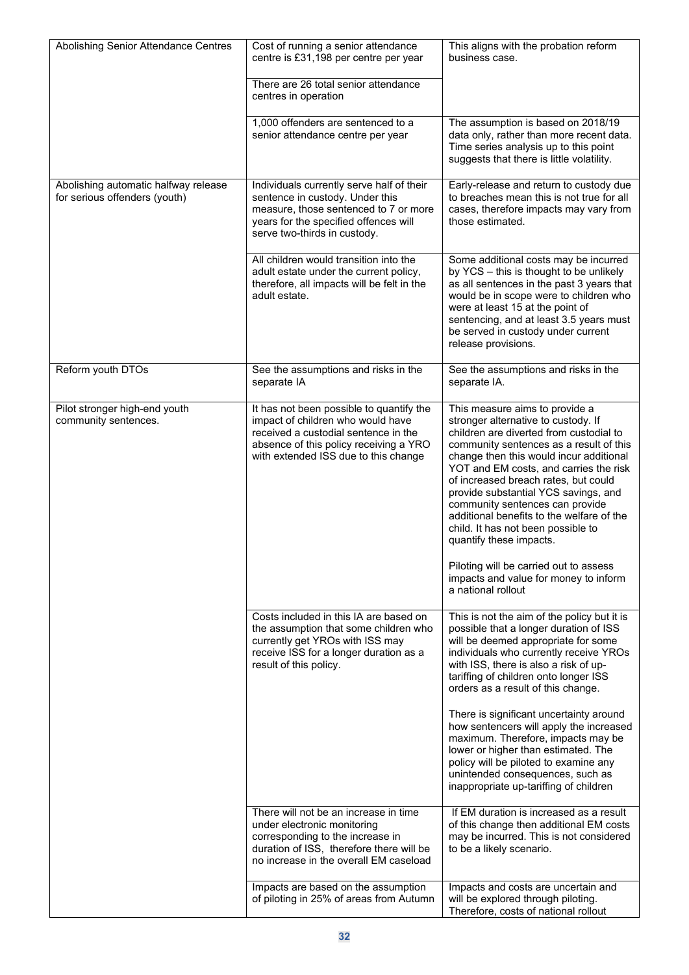| Abolishing Senior Attendance Centres                                  | Cost of running a senior attendance<br>centre is £31,198 per centre per year                                                                                                                            | This aligns with the probation reform<br>business case.                                                                                                                                                                                                                                                                                                                                                                                                                                                                                                                                    |
|-----------------------------------------------------------------------|---------------------------------------------------------------------------------------------------------------------------------------------------------------------------------------------------------|--------------------------------------------------------------------------------------------------------------------------------------------------------------------------------------------------------------------------------------------------------------------------------------------------------------------------------------------------------------------------------------------------------------------------------------------------------------------------------------------------------------------------------------------------------------------------------------------|
|                                                                       | There are 26 total senior attendance<br>centres in operation                                                                                                                                            |                                                                                                                                                                                                                                                                                                                                                                                                                                                                                                                                                                                            |
|                                                                       | 1,000 offenders are sentenced to a<br>senior attendance centre per year                                                                                                                                 | The assumption is based on 2018/19<br>data only, rather than more recent data.<br>Time series analysis up to this point<br>suggests that there is little volatility.                                                                                                                                                                                                                                                                                                                                                                                                                       |
| Abolishing automatic halfway release<br>for serious offenders (youth) | Individuals currently serve half of their<br>sentence in custody. Under this<br>measure, those sentenced to 7 or more<br>years for the specified offences will<br>serve two-thirds in custody.          | Early-release and return to custody due<br>to breaches mean this is not true for all<br>cases, therefore impacts may vary from<br>those estimated.                                                                                                                                                                                                                                                                                                                                                                                                                                         |
|                                                                       | All children would transition into the<br>adult estate under the current policy,<br>therefore, all impacts will be felt in the<br>adult estate.                                                         | Some additional costs may be incurred<br>by YCS - this is thought to be unlikely<br>as all sentences in the past 3 years that<br>would be in scope were to children who<br>were at least 15 at the point of<br>sentencing, and at least 3.5 years must<br>be served in custody under current<br>release provisions.                                                                                                                                                                                                                                                                        |
| Reform youth DTOs                                                     | See the assumptions and risks in the<br>separate IA                                                                                                                                                     | See the assumptions and risks in the<br>separate IA.                                                                                                                                                                                                                                                                                                                                                                                                                                                                                                                                       |
| Pilot stronger high-end youth<br>community sentences.                 | It has not been possible to quantify the<br>impact of children who would have<br>received a custodial sentence in the<br>absence of this policy receiving a YRO<br>with extended ISS due to this change | This measure aims to provide a<br>stronger alternative to custody. If<br>children are diverted from custodial to<br>community sentences as a result of this<br>change then this would incur additional<br>YOT and EM costs, and carries the risk<br>of increased breach rates, but could<br>provide substantial YCS savings, and<br>community sentences can provide<br>additional benefits to the welfare of the<br>child. It has not been possible to<br>quantify these impacts.<br>Piloting will be carried out to assess<br>impacts and value for money to inform<br>a national rollout |
|                                                                       | Costs included in this IA are based on<br>the assumption that some children who<br>currently get YROs with ISS may<br>receive ISS for a longer duration as a<br>result of this policy.                  | This is not the aim of the policy but it is<br>possible that a longer duration of ISS<br>will be deemed appropriate for some<br>individuals who currently receive YROs<br>with ISS, there is also a risk of up-<br>tariffing of children onto longer ISS<br>orders as a result of this change.                                                                                                                                                                                                                                                                                             |
|                                                                       |                                                                                                                                                                                                         | There is significant uncertainty around<br>how sentencers will apply the increased<br>maximum. Therefore, impacts may be<br>lower or higher than estimated. The<br>policy will be piloted to examine any<br>unintended consequences, such as<br>inappropriate up-tariffing of children                                                                                                                                                                                                                                                                                                     |
|                                                                       | There will not be an increase in time<br>under electronic monitoring<br>corresponding to the increase in<br>duration of ISS, therefore there will be<br>no increase in the overall EM caseload          | If EM duration is increased as a result<br>of this change then additional EM costs<br>may be incurred. This is not considered<br>to be a likely scenario.                                                                                                                                                                                                                                                                                                                                                                                                                                  |
|                                                                       | Impacts are based on the assumption<br>of piloting in 25% of areas from Autumn                                                                                                                          | Impacts and costs are uncertain and<br>will be explored through piloting.<br>Therefore, costs of national rollout                                                                                                                                                                                                                                                                                                                                                                                                                                                                          |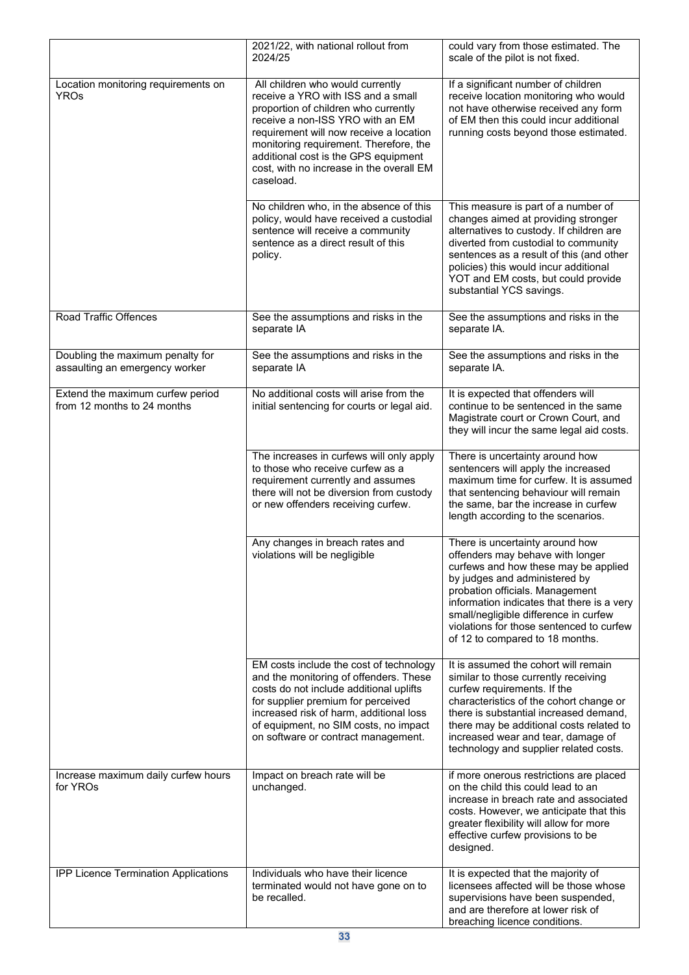|                                                                    | 2021/22, with national rollout from<br>2024/25                                                                                                                                                                                                                                                                                           | could vary from those estimated. The<br>scale of the pilot is not fixed.                                                                                                                                                                                                                                                                              |
|--------------------------------------------------------------------|------------------------------------------------------------------------------------------------------------------------------------------------------------------------------------------------------------------------------------------------------------------------------------------------------------------------------------------|-------------------------------------------------------------------------------------------------------------------------------------------------------------------------------------------------------------------------------------------------------------------------------------------------------------------------------------------------------|
| Location monitoring requirements on<br><b>YROs</b>                 | All children who would currently<br>receive a YRO with ISS and a small<br>proportion of children who currently<br>receive a non-ISS YRO with an EM<br>requirement will now receive a location<br>monitoring requirement. Therefore, the<br>additional cost is the GPS equipment<br>cost, with no increase in the overall EM<br>caseload. | If a significant number of children<br>receive location monitoring who would<br>not have otherwise received any form<br>of EM then this could incur additional<br>running costs beyond those estimated.                                                                                                                                               |
|                                                                    | No children who, in the absence of this<br>policy, would have received a custodial<br>sentence will receive a community<br>sentence as a direct result of this<br>policy.                                                                                                                                                                | This measure is part of a number of<br>changes aimed at providing stronger<br>alternatives to custody. If children are<br>diverted from custodial to community<br>sentences as a result of this (and other<br>policies) this would incur additional<br>YOT and EM costs, but could provide<br>substantial YCS savings.                                |
| Road Traffic Offences                                              | See the assumptions and risks in the<br>separate IA                                                                                                                                                                                                                                                                                      | See the assumptions and risks in the<br>separate IA.                                                                                                                                                                                                                                                                                                  |
| Doubling the maximum penalty for<br>assaulting an emergency worker | See the assumptions and risks in the<br>separate IA                                                                                                                                                                                                                                                                                      | See the assumptions and risks in the<br>separate IA.                                                                                                                                                                                                                                                                                                  |
| Extend the maximum curfew period<br>from 12 months to 24 months    | No additional costs will arise from the<br>initial sentencing for courts or legal aid.                                                                                                                                                                                                                                                   | It is expected that offenders will<br>continue to be sentenced in the same<br>Magistrate court or Crown Court, and<br>they will incur the same legal aid costs.                                                                                                                                                                                       |
|                                                                    | The increases in curfews will only apply<br>to those who receive curfew as a<br>requirement currently and assumes<br>there will not be diversion from custody<br>or new offenders receiving curfew.                                                                                                                                      | There is uncertainty around how<br>sentencers will apply the increased<br>maximum time for curfew. It is assumed<br>that sentencing behaviour will remain<br>the same, bar the increase in curfew<br>length according to the scenarios.                                                                                                               |
|                                                                    | Any changes in breach rates and<br>violations will be negligible                                                                                                                                                                                                                                                                         | There is uncertainty around how<br>offenders may behave with longer<br>curfews and how these may be applied<br>by judges and administered by<br>probation officials. Management<br>information indicates that there is a very<br>small/negligible difference in curfew<br>violations for those sentenced to curfew<br>of 12 to compared to 18 months. |
|                                                                    | EM costs include the cost of technology<br>and the monitoring of offenders. These<br>costs do not include additional uplifts<br>for supplier premium for perceived<br>increased risk of harm, additional loss<br>of equipment, no SIM costs, no impact<br>on software or contract management.                                            | It is assumed the cohort will remain<br>similar to those currently receiving<br>curfew requirements. If the<br>characteristics of the cohort change or<br>there is substantial increased demand,<br>there may be additional costs related to<br>increased wear and tear, damage of<br>technology and supplier related costs.                          |
| Increase maximum daily curfew hours<br>for YROs                    | Impact on breach rate will be<br>unchanged.                                                                                                                                                                                                                                                                                              | if more onerous restrictions are placed<br>on the child this could lead to an<br>increase in breach rate and associated<br>costs. However, we anticipate that this<br>greater flexibility will allow for more<br>effective curfew provisions to be<br>designed.                                                                                       |
| IPP Licence Termination Applications                               | Individuals who have their licence<br>terminated would not have gone on to<br>be recalled.                                                                                                                                                                                                                                               | It is expected that the majority of<br>licensees affected will be those whose<br>supervisions have been suspended,<br>and are therefore at lower risk of<br>breaching licence conditions.                                                                                                                                                             |